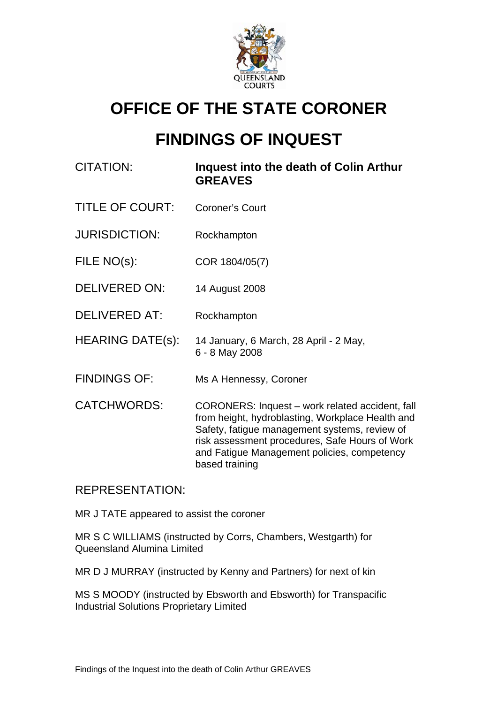

# **OFFICE OF THE STATE CORONER**

# **FINDINGS OF INQUEST**

- CITATION: **Inquest into the death of Colin Arthur GREAVES**
- TITLE OF COURT: Coroner's Court
- JURISDICTION: Rockhampton
- FILE NO(s): COR 1804/05(7)
- DELIVERED ON: 14 August 2008
- DELIVERED AT: Rockhampton
- HEARING DATE(s): 14 January, 6 March, 28 April 2 May, 6 - 8 May 2008
- FINDINGS OF: Ms A Hennessy, Coroner
- CATCHWORDS: CORONERS: Inquest work related accident, fall from height, hydroblasting, Workplace Health and Safety, fatigue management systems, review of risk assessment procedures, Safe Hours of Work and Fatigue Management policies, competency based training

# REPRESENTATION:

MR J TATE appeared to assist the coroner

MR S C WILLIAMS (instructed by Corrs, Chambers, Westgarth) for Queensland Alumina Limited

MR D J MURRAY (instructed by Kenny and Partners) for next of kin

MS S MOODY (instructed by Ebsworth and Ebsworth) for Transpacific Industrial Solutions Proprietary Limited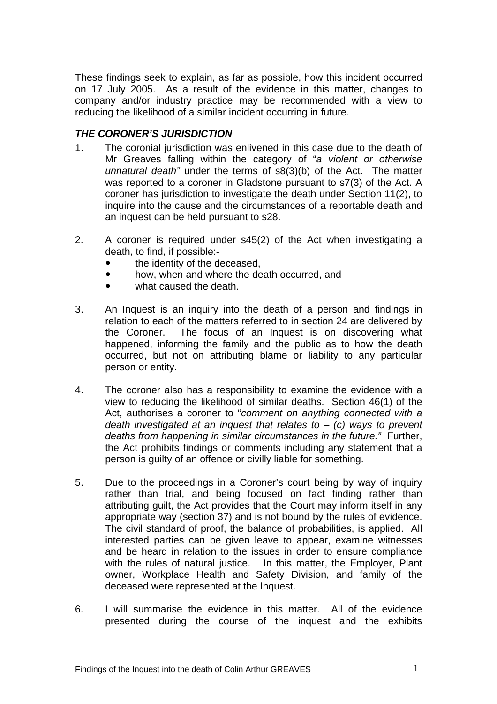These findings seek to explain, as far as possible, how this incident occurred on 17 July 2005. As a result of the evidence in this matter, changes to company and/or industry practice may be recommended with a view to reducing the likelihood of a similar incident occurring in future.

# *THE CORONER'S JURISDICTION*

- 1. The coronial jurisdiction was enlivened in this case due to the death of Mr Greaves falling within the category of "*a violent or otherwise unnatural death"* under the terms of s8(3)(b) of the Act. The matter was reported to a coroner in Gladstone pursuant to s7(3) of the Act. A coroner has jurisdiction to investigate the death under Section 11(2), to inquire into the cause and the circumstances of a reportable death and an inquest can be held pursuant to s28.
- 2. A coroner is required under s45(2) of the Act when investigating a death, to find, if possible:-
	- the identity of the deceased.
	- how, when and where the death occurred, and
	- what caused the death.
- 3. An Inquest is an inquiry into the death of a person and findings in relation to each of the matters referred to in section 24 are delivered by the Coroner. The focus of an Inquest is on discovering what happened, informing the family and the public as to how the death occurred, but not on attributing blame or liability to any particular person or entity.
- 4. The coroner also has a responsibility to examine the evidence with a view to reducing the likelihood of similar deaths. Section 46(1) of the Act, authorises a coroner to "*comment on anything connected with a death investigated at an inquest that relates to* – *(c) ways to prevent deaths from happening in similar circumstances in the future."* Further, the Act prohibits findings or comments including any statement that a person is guilty of an offence or civilly liable for something.
- 5. Due to the proceedings in a Coroner's court being by way of inquiry rather than trial, and being focused on fact finding rather than attributing guilt, the Act provides that the Court may inform itself in any appropriate way (section 37) and is not bound by the rules of evidence. The civil standard of proof, the balance of probabilities, is applied. All interested parties can be given leave to appear, examine witnesses and be heard in relation to the issues in order to ensure compliance with the rules of natural justice. In this matter, the Employer, Plant owner, Workplace Health and Safety Division, and family of the deceased were represented at the Inquest.
- 6. I will summarise the evidence in this matter. All of the evidence presented during the course of the inquest and the exhibits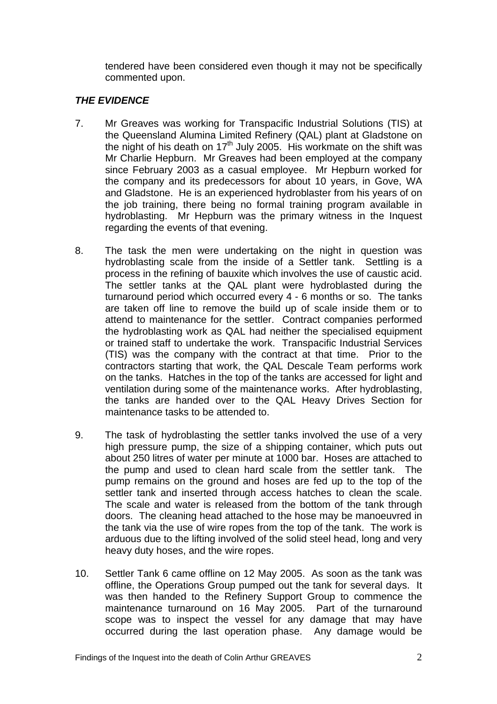tendered have been considered even though it may not be specifically commented upon.

# *THE EVIDENCE*

- 7. Mr Greaves was working for Transpacific Industrial Solutions (TIS) at the Queensland Alumina Limited Refinery (QAL) plant at Gladstone on the night of his death on  $17<sup>th</sup>$  July 2005. His workmate on the shift was Mr Charlie Hepburn. Mr Greaves had been employed at the company since February 2003 as a casual employee. Mr Hepburn worked for the company and its predecessors for about 10 years, in Gove, WA and Gladstone. He is an experienced hydroblaster from his years of on the job training, there being no formal training program available in hydroblasting. Mr Hepburn was the primary witness in the Inquest regarding the events of that evening.
- 8. The task the men were undertaking on the night in question was hydroblasting scale from the inside of a Settler tank. Settling is a process in the refining of bauxite which involves the use of caustic acid. The settler tanks at the QAL plant were hydroblasted during the turnaround period which occurred every 4 - 6 months or so. The tanks are taken off line to remove the build up of scale inside them or to attend to maintenance for the settler. Contract companies performed the hydroblasting work as QAL had neither the specialised equipment or trained staff to undertake the work. Transpacific Industrial Services (TIS) was the company with the contract at that time. Prior to the contractors starting that work, the QAL Descale Team performs work on the tanks. Hatches in the top of the tanks are accessed for light and ventilation during some of the maintenance works. After hydroblasting, the tanks are handed over to the QAL Heavy Drives Section for maintenance tasks to be attended to.
- 9. The task of hydroblasting the settler tanks involved the use of a very high pressure pump, the size of a shipping container, which puts out about 250 litres of water per minute at 1000 bar. Hoses are attached to the pump and used to clean hard scale from the settler tank. The pump remains on the ground and hoses are fed up to the top of the settler tank and inserted through access hatches to clean the scale. The scale and water is released from the bottom of the tank through doors. The cleaning head attached to the hose may be manoeuvred in the tank via the use of wire ropes from the top of the tank. The work is arduous due to the lifting involved of the solid steel head, long and very heavy duty hoses, and the wire ropes.
- 10. Settler Tank 6 came offline on 12 May 2005. As soon as the tank was offline, the Operations Group pumped out the tank for several days. It was then handed to the Refinery Support Group to commence the maintenance turnaround on 16 May 2005. Part of the turnaround scope was to inspect the vessel for any damage that may have occurred during the last operation phase. Any damage would be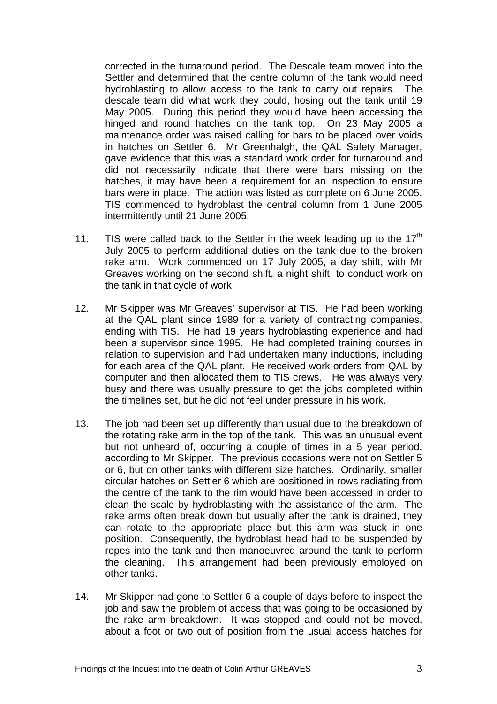corrected in the turnaround period. The Descale team moved into the Settler and determined that the centre column of the tank would need hydroblasting to allow access to the tank to carry out repairs. The descale team did what work they could, hosing out the tank until 19 May 2005. During this period they would have been accessing the hinged and round hatches on the tank top. On 23 May 2005 a maintenance order was raised calling for bars to be placed over voids in hatches on Settler 6. Mr Greenhalgh, the QAL Safety Manager, gave evidence that this was a standard work order for turnaround and did not necessarily indicate that there were bars missing on the hatches, it may have been a requirement for an inspection to ensure bars were in place. The action was listed as complete on 6 June 2005. TIS commenced to hydroblast the central column from 1 June 2005 intermittently until 21 June 2005.

- 11. TIS were called back to the Settler in the week leading up to the  $17<sup>th</sup>$ July 2005 to perform additional duties on the tank due to the broken rake arm. Work commenced on 17 July 2005, a day shift, with Mr Greaves working on the second shift, a night shift, to conduct work on the tank in that cycle of work.
- 12. Mr Skipper was Mr Greaves' supervisor at TIS. He had been working at the QAL plant since 1989 for a variety of contracting companies, ending with TIS. He had 19 years hydroblasting experience and had been a supervisor since 1995. He had completed training courses in relation to supervision and had undertaken many inductions, including for each area of the QAL plant. He received work orders from QAL by computer and then allocated them to TIS crews. He was always very busy and there was usually pressure to get the jobs completed within the timelines set, but he did not feel under pressure in his work.
- 13. The job had been set up differently than usual due to the breakdown of the rotating rake arm in the top of the tank. This was an unusual event but not unheard of, occurring a couple of times in a 5 year period, according to Mr Skipper. The previous occasions were not on Settler 5 or 6, but on other tanks with different size hatches. Ordinarily, smaller circular hatches on Settler 6 which are positioned in rows radiating from the centre of the tank to the rim would have been accessed in order to clean the scale by hydroblasting with the assistance of the arm. The rake arms often break down but usually after the tank is drained, they can rotate to the appropriate place but this arm was stuck in one position. Consequently, the hydroblast head had to be suspended by ropes into the tank and then manoeuvred around the tank to perform the cleaning. This arrangement had been previously employed on other tanks.
- 14. Mr Skipper had gone to Settler 6 a couple of days before to inspect the job and saw the problem of access that was going to be occasioned by the rake arm breakdown. It was stopped and could not be moved, about a foot or two out of position from the usual access hatches for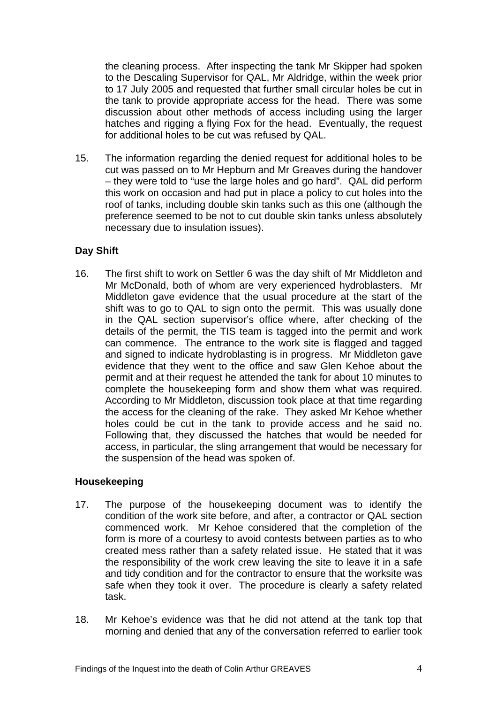the cleaning process. After inspecting the tank Mr Skipper had spoken to the Descaling Supervisor for QAL, Mr Aldridge, within the week prior to 17 July 2005 and requested that further small circular holes be cut in the tank to provide appropriate access for the head. There was some discussion about other methods of access including using the larger hatches and rigging a flying Fox for the head. Eventually, the request for additional holes to be cut was refused by QAL.

15. The information regarding the denied request for additional holes to be cut was passed on to Mr Hepburn and Mr Greaves during the handover – they were told to "use the large holes and go hard". QAL did perform this work on occasion and had put in place a policy to cut holes into the roof of tanks, including double skin tanks such as this one (although the preference seemed to be not to cut double skin tanks unless absolutely necessary due to insulation issues).

# **Day Shift**

16. The first shift to work on Settler 6 was the day shift of Mr Middleton and Mr McDonald, both of whom are very experienced hydroblasters. Mr Middleton gave evidence that the usual procedure at the start of the shift was to go to QAL to sign onto the permit. This was usually done in the QAL section supervisor's office where, after checking of the details of the permit, the TIS team is tagged into the permit and work can commence. The entrance to the work site is flagged and tagged and signed to indicate hydroblasting is in progress. Mr Middleton gave evidence that they went to the office and saw Glen Kehoe about the permit and at their request he attended the tank for about 10 minutes to complete the housekeeping form and show them what was required. According to Mr Middleton, discussion took place at that time regarding the access for the cleaning of the rake. They asked Mr Kehoe whether holes could be cut in the tank to provide access and he said no. Following that, they discussed the hatches that would be needed for access, in particular, the sling arrangement that would be necessary for the suspension of the head was spoken of.

## **Housekeeping**

- 17. The purpose of the housekeeping document was to identify the condition of the work site before, and after, a contractor or QAL section commenced work. Mr Kehoe considered that the completion of the form is more of a courtesy to avoid contests between parties as to who created mess rather than a safety related issue. He stated that it was the responsibility of the work crew leaving the site to leave it in a safe and tidy condition and for the contractor to ensure that the worksite was safe when they took it over. The procedure is clearly a safety related task.
- 18. Mr Kehoe's evidence was that he did not attend at the tank top that morning and denied that any of the conversation referred to earlier took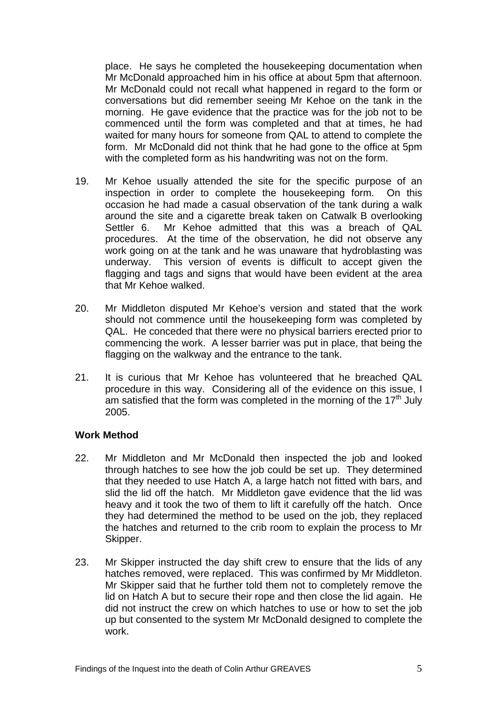place. He says he completed the housekeeping documentation when Mr McDonald approached him in his office at about 5pm that afternoon. Mr McDonald could not recall what happened in regard to the form or conversations but did remember seeing Mr Kehoe on the tank in the morning. He gave evidence that the practice was for the job not to be commenced until the form was completed and that at times, he had waited for many hours for someone from QAL to attend to complete the form. Mr McDonald did not think that he had gone to the office at 5pm with the completed form as his handwriting was not on the form.

- 19. Mr Kehoe usually attended the site for the specific purpose of an inspection in order to complete the housekeeping form. On this occasion he had made a casual observation of the tank during a walk around the site and a cigarette break taken on Catwalk B overlooking Settler 6. Mr Kehoe admitted that this was a breach of QAL procedures. At the time of the observation, he did not observe any work going on at the tank and he was unaware that hydroblasting was underway. This version of events is difficult to accept given the flagging and tags and signs that would have been evident at the area that Mr Kehoe walked.
- 20. Mr Middleton disputed Mr Kehoe's version and stated that the work should not commence until the housekeeping form was completed by QAL. He conceded that there were no physical barriers erected prior to commencing the work. A lesser barrier was put in place, that being the flagging on the walkway and the entrance to the tank.
- 21. It is curious that Mr Kehoe has volunteered that he breached QAL procedure in this way. Considering all of the evidence on this issue, I am satisfied that the form was completed in the morning of the  $17<sup>th</sup>$  July 2005.

## **Work Method**

- 22. Mr Middleton and Mr McDonald then inspected the job and looked through hatches to see how the job could be set up. They determined that they needed to use Hatch A, a large hatch not fitted with bars, and slid the lid off the hatch. Mr Middleton gave evidence that the lid was heavy and it took the two of them to lift it carefully off the hatch. Once they had determined the method to be used on the job, they replaced the hatches and returned to the crib room to explain the process to Mr Skipper.
- 23. Mr Skipper instructed the day shift crew to ensure that the lids of any hatches removed, were replaced. This was confirmed by Mr Middleton. Mr Skipper said that he further told them not to completely remove the lid on Hatch A but to secure their rope and then close the lid again. He did not instruct the crew on which hatches to use or how to set the job up but consented to the system Mr McDonald designed to complete the work.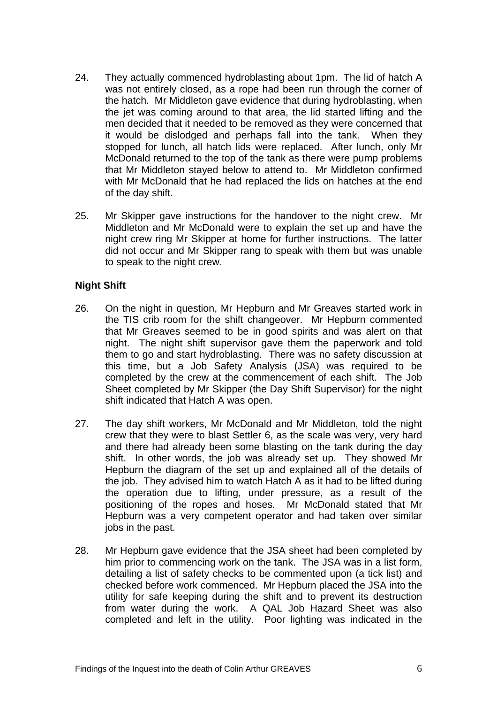- 24. They actually commenced hydroblasting about 1pm. The lid of hatch A was not entirely closed, as a rope had been run through the corner of the hatch. Mr Middleton gave evidence that during hydroblasting, when the jet was coming around to that area, the lid started lifting and the men decided that it needed to be removed as they were concerned that it would be dislodged and perhaps fall into the tank. When they stopped for lunch, all hatch lids were replaced. After lunch, only Mr McDonald returned to the top of the tank as there were pump problems that Mr Middleton stayed below to attend to. Mr Middleton confirmed with Mr McDonald that he had replaced the lids on hatches at the end of the day shift.
- 25. Mr Skipper gave instructions for the handover to the night crew. Mr Middleton and Mr McDonald were to explain the set up and have the night crew ring Mr Skipper at home for further instructions. The latter did not occur and Mr Skipper rang to speak with them but was unable to speak to the night crew.

## **Night Shift**

- 26. On the night in question, Mr Hepburn and Mr Greaves started work in the TIS crib room for the shift changeover. Mr Hepburn commented that Mr Greaves seemed to be in good spirits and was alert on that night. The night shift supervisor gave them the paperwork and told them to go and start hydroblasting. There was no safety discussion at this time, but a Job Safety Analysis (JSA) was required to be completed by the crew at the commencement of each shift. The Job Sheet completed by Mr Skipper (the Day Shift Supervisor) for the night shift indicated that Hatch A was open.
- 27. The day shift workers, Mr McDonald and Mr Middleton, told the night crew that they were to blast Settler 6, as the scale was very, very hard and there had already been some blasting on the tank during the day shift. In other words, the job was already set up. They showed Mr Hepburn the diagram of the set up and explained all of the details of the job. They advised him to watch Hatch A as it had to be lifted during the operation due to lifting, under pressure, as a result of the positioning of the ropes and hoses. Mr McDonald stated that Mr Hepburn was a very competent operator and had taken over similar jobs in the past.
- 28. Mr Hepburn gave evidence that the JSA sheet had been completed by him prior to commencing work on the tank. The JSA was in a list form, detailing a list of safety checks to be commented upon (a tick list) and checked before work commenced. Mr Hepburn placed the JSA into the utility for safe keeping during the shift and to prevent its destruction from water during the work. A QAL Job Hazard Sheet was also completed and left in the utility. Poor lighting was indicated in the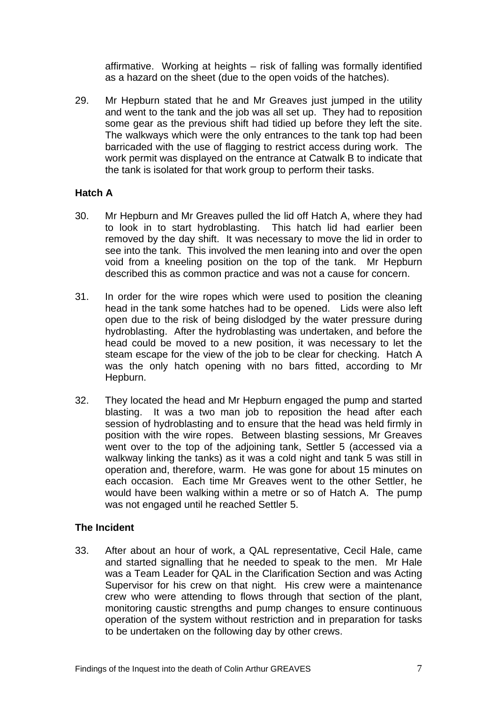affirmative. Working at heights – risk of falling was formally identified as a hazard on the sheet (due to the open voids of the hatches).

29. Mr Hepburn stated that he and Mr Greaves just jumped in the utility and went to the tank and the job was all set up. They had to reposition some gear as the previous shift had tidied up before they left the site. The walkways which were the only entrances to the tank top had been barricaded with the use of flagging to restrict access during work. The work permit was displayed on the entrance at Catwalk B to indicate that the tank is isolated for that work group to perform their tasks.

## **Hatch A**

- 30. Mr Hepburn and Mr Greaves pulled the lid off Hatch A, where they had to look in to start hydroblasting. This hatch lid had earlier been removed by the day shift. It was necessary to move the lid in order to see into the tank. This involved the men leaning into and over the open void from a kneeling position on the top of the tank. Mr Hepburn described this as common practice and was not a cause for concern.
- 31. In order for the wire ropes which were used to position the cleaning head in the tank some hatches had to be opened. Lids were also left open due to the risk of being dislodged by the water pressure during hydroblasting. After the hydroblasting was undertaken, and before the head could be moved to a new position, it was necessary to let the steam escape for the view of the job to be clear for checking. Hatch A was the only hatch opening with no bars fitted, according to Mr Hepburn.
- 32. They located the head and Mr Hepburn engaged the pump and started blasting. It was a two man job to reposition the head after each session of hydroblasting and to ensure that the head was held firmly in position with the wire ropes. Between blasting sessions, Mr Greaves went over to the top of the adjoining tank, Settler 5 (accessed via a walkway linking the tanks) as it was a cold night and tank 5 was still in operation and, therefore, warm. He was gone for about 15 minutes on each occasion. Each time Mr Greaves went to the other Settler, he would have been walking within a metre or so of Hatch A. The pump was not engaged until he reached Settler 5.

## **The Incident**

33. After about an hour of work, a QAL representative, Cecil Hale, came and started signalling that he needed to speak to the men. Mr Hale was a Team Leader for QAL in the Clarification Section and was Acting Supervisor for his crew on that night. His crew were a maintenance crew who were attending to flows through that section of the plant, monitoring caustic strengths and pump changes to ensure continuous operation of the system without restriction and in preparation for tasks to be undertaken on the following day by other crews.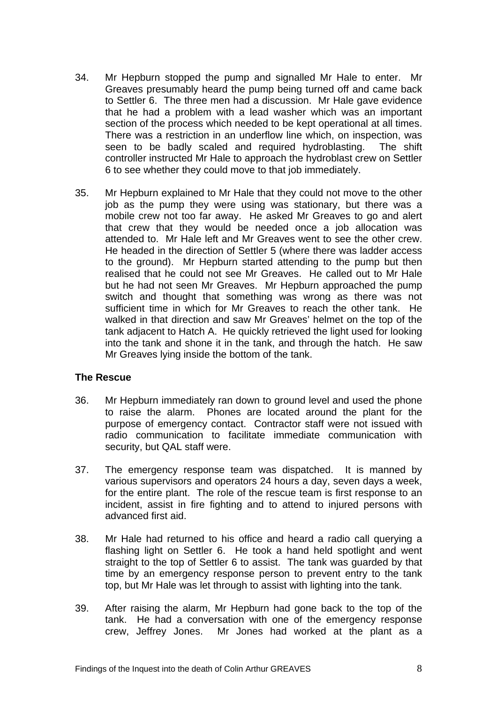- 34. Mr Hepburn stopped the pump and signalled Mr Hale to enter. Mr Greaves presumably heard the pump being turned off and came back to Settler 6. The three men had a discussion. Mr Hale gave evidence that he had a problem with a lead washer which was an important section of the process which needed to be kept operational at all times. There was a restriction in an underflow line which, on inspection, was seen to be badly scaled and required hydroblasting. The shift controller instructed Mr Hale to approach the hydroblast crew on Settler 6 to see whether they could move to that job immediately.
- 35. Mr Hepburn explained to Mr Hale that they could not move to the other job as the pump they were using was stationary, but there was a mobile crew not too far away. He asked Mr Greaves to go and alert that crew that they would be needed once a job allocation was attended to. Mr Hale left and Mr Greaves went to see the other crew. He headed in the direction of Settler 5 (where there was ladder access to the ground). Mr Hepburn started attending to the pump but then realised that he could not see Mr Greaves. He called out to Mr Hale but he had not seen Mr Greaves. Mr Hepburn approached the pump switch and thought that something was wrong as there was not sufficient time in which for Mr Greaves to reach the other tank. He walked in that direction and saw Mr Greaves' helmet on the top of the tank adjacent to Hatch A. He quickly retrieved the light used for looking into the tank and shone it in the tank, and through the hatch. He saw Mr Greaves lying inside the bottom of the tank.

## **The Rescue**

- 36. Mr Hepburn immediately ran down to ground level and used the phone to raise the alarm. Phones are located around the plant for the purpose of emergency contact. Contractor staff were not issued with radio communication to facilitate immediate communication with security, but QAL staff were.
- 37. The emergency response team was dispatched. It is manned by various supervisors and operators 24 hours a day, seven days a week, for the entire plant. The role of the rescue team is first response to an incident, assist in fire fighting and to attend to injured persons with advanced first aid.
- 38. Mr Hale had returned to his office and heard a radio call querying a flashing light on Settler 6. He took a hand held spotlight and went straight to the top of Settler 6 to assist. The tank was guarded by that time by an emergency response person to prevent entry to the tank top, but Mr Hale was let through to assist with lighting into the tank.
- 39. After raising the alarm, Mr Hepburn had gone back to the top of the tank. He had a conversation with one of the emergency response crew, Jeffrey Jones. Mr Jones had worked at the plant as a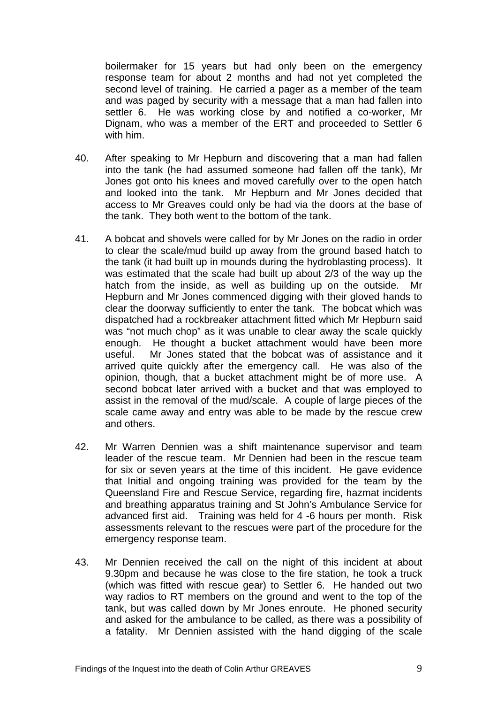boilermaker for 15 years but had only been on the emergency response team for about 2 months and had not yet completed the second level of training. He carried a pager as a member of the team and was paged by security with a message that a man had fallen into settler 6. He was working close by and notified a co-worker, Mr Dignam, who was a member of the ERT and proceeded to Settler 6 with him.

- 40. After speaking to Mr Hepburn and discovering that a man had fallen into the tank (he had assumed someone had fallen off the tank), Mr Jones got onto his knees and moved carefully over to the open hatch and looked into the tank. Mr Hepburn and Mr Jones decided that access to Mr Greaves could only be had via the doors at the base of the tank. They both went to the bottom of the tank.
- 41. A bobcat and shovels were called for by Mr Jones on the radio in order to clear the scale/mud build up away from the ground based hatch to the tank (it had built up in mounds during the hydroblasting process). It was estimated that the scale had built up about 2/3 of the way up the hatch from the inside, as well as building up on the outside. Mr Hepburn and Mr Jones commenced digging with their gloved hands to clear the doorway sufficiently to enter the tank. The bobcat which was dispatched had a rockbreaker attachment fitted which Mr Hepburn said was "not much chop" as it was unable to clear away the scale quickly enough. He thought a bucket attachment would have been more useful. Mr Jones stated that the bobcat was of assistance and it arrived quite quickly after the emergency call. He was also of the opinion, though, that a bucket attachment might be of more use. A second bobcat later arrived with a bucket and that was employed to assist in the removal of the mud/scale. A couple of large pieces of the scale came away and entry was able to be made by the rescue crew and others.
- 42. Mr Warren Dennien was a shift maintenance supervisor and team leader of the rescue team. Mr Dennien had been in the rescue team for six or seven years at the time of this incident. He gave evidence that Initial and ongoing training was provided for the team by the Queensland Fire and Rescue Service, regarding fire, hazmat incidents and breathing apparatus training and St John's Ambulance Service for advanced first aid. Training was held for 4 -6 hours per month. Risk assessments relevant to the rescues were part of the procedure for the emergency response team.
- 43. Mr Dennien received the call on the night of this incident at about 9.30pm and because he was close to the fire station, he took a truck (which was fitted with rescue gear) to Settler 6. He handed out two way radios to RT members on the ground and went to the top of the tank, but was called down by Mr Jones enroute. He phoned security and asked for the ambulance to be called, as there was a possibility of a fatality. Mr Dennien assisted with the hand digging of the scale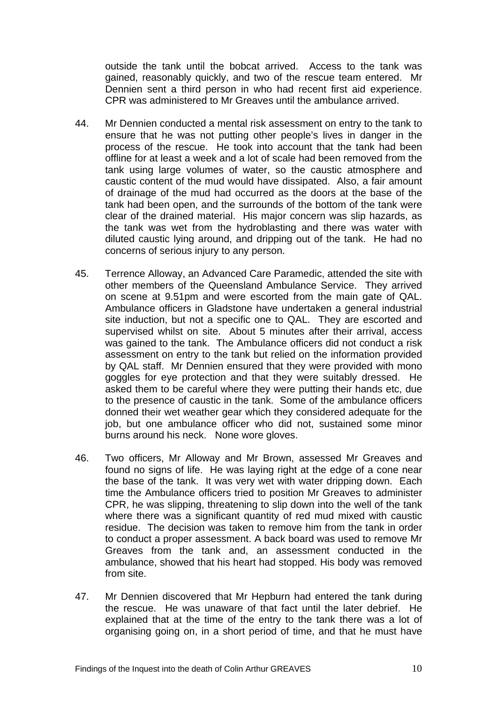outside the tank until the bobcat arrived. Access to the tank was gained, reasonably quickly, and two of the rescue team entered. Mr Dennien sent a third person in who had recent first aid experience. CPR was administered to Mr Greaves until the ambulance arrived.

- 44. Mr Dennien conducted a mental risk assessment on entry to the tank to ensure that he was not putting other people's lives in danger in the process of the rescue. He took into account that the tank had been offline for at least a week and a lot of scale had been removed from the tank using large volumes of water, so the caustic atmosphere and caustic content of the mud would have dissipated. Also, a fair amount of drainage of the mud had occurred as the doors at the base of the tank had been open, and the surrounds of the bottom of the tank were clear of the drained material. His major concern was slip hazards, as the tank was wet from the hydroblasting and there was water with diluted caustic lying around, and dripping out of the tank. He had no concerns of serious injury to any person.
- 45. Terrence Alloway, an Advanced Care Paramedic, attended the site with other members of the Queensland Ambulance Service. They arrived on scene at 9.51pm and were escorted from the main gate of QAL. Ambulance officers in Gladstone have undertaken a general industrial site induction, but not a specific one to QAL. They are escorted and supervised whilst on site. About 5 minutes after their arrival, access was gained to the tank. The Ambulance officers did not conduct a risk assessment on entry to the tank but relied on the information provided by QAL staff. Mr Dennien ensured that they were provided with mono goggles for eye protection and that they were suitably dressed. He asked them to be careful where they were putting their hands etc, due to the presence of caustic in the tank. Some of the ambulance officers donned their wet weather gear which they considered adequate for the job, but one ambulance officer who did not, sustained some minor burns around his neck. None wore gloves.
- 46. Two officers, Mr Alloway and Mr Brown, assessed Mr Greaves and found no signs of life. He was laying right at the edge of a cone near the base of the tank. It was very wet with water dripping down. Each time the Ambulance officers tried to position Mr Greaves to administer CPR, he was slipping, threatening to slip down into the well of the tank where there was a significant quantity of red mud mixed with caustic residue. The decision was taken to remove him from the tank in order to conduct a proper assessment. A back board was used to remove Mr Greaves from the tank and, an assessment conducted in the ambulance, showed that his heart had stopped. His body was removed from site.
- 47. Mr Dennien discovered that Mr Hepburn had entered the tank during the rescue. He was unaware of that fact until the later debrief. He explained that at the time of the entry to the tank there was a lot of organising going on, in a short period of time, and that he must have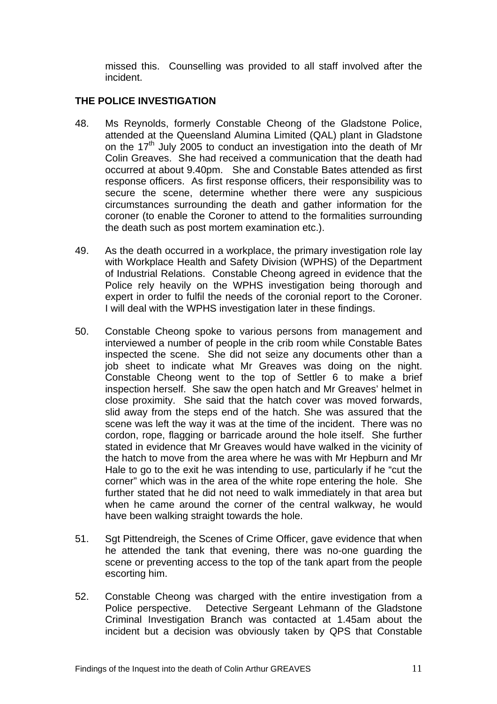missed this. Counselling was provided to all staff involved after the incident.

# **THE POLICE INVESTIGATION**

- 48. Ms Reynolds, formerly Constable Cheong of the Gladstone Police, attended at the Queensland Alumina Limited (QAL) plant in Gladstone on the  $17<sup>th</sup>$  July 2005 to conduct an investigation into the death of Mr Colin Greaves. She had received a communication that the death had occurred at about 9.40pm. She and Constable Bates attended as first response officers. As first response officers, their responsibility was to secure the scene, determine whether there were any suspicious circumstances surrounding the death and gather information for the coroner (to enable the Coroner to attend to the formalities surrounding the death such as post mortem examination etc.).
- 49. As the death occurred in a workplace, the primary investigation role lay with Workplace Health and Safety Division (WPHS) of the Department of Industrial Relations. Constable Cheong agreed in evidence that the Police rely heavily on the WPHS investigation being thorough and expert in order to fulfil the needs of the coronial report to the Coroner. I will deal with the WPHS investigation later in these findings.
- 50. Constable Cheong spoke to various persons from management and interviewed a number of people in the crib room while Constable Bates inspected the scene. She did not seize any documents other than a job sheet to indicate what Mr Greaves was doing on the night. Constable Cheong went to the top of Settler 6 to make a brief inspection herself. She saw the open hatch and Mr Greaves' helmet in close proximity. She said that the hatch cover was moved forwards, slid away from the steps end of the hatch. She was assured that the scene was left the way it was at the time of the incident. There was no cordon, rope, flagging or barricade around the hole itself. She further stated in evidence that Mr Greaves would have walked in the vicinity of the hatch to move from the area where he was with Mr Hepburn and Mr Hale to go to the exit he was intending to use, particularly if he "cut the corner" which was in the area of the white rope entering the hole. She further stated that he did not need to walk immediately in that area but when he came around the corner of the central walkway, he would have been walking straight towards the hole.
- 51. Sat Pittendreigh, the Scenes of Crime Officer, gave evidence that when he attended the tank that evening, there was no-one guarding the scene or preventing access to the top of the tank apart from the people escorting him.
- 52. Constable Cheong was charged with the entire investigation from a Police perspective. Detective Sergeant Lehmann of the Gladstone Criminal Investigation Branch was contacted at 1.45am about the incident but a decision was obviously taken by QPS that Constable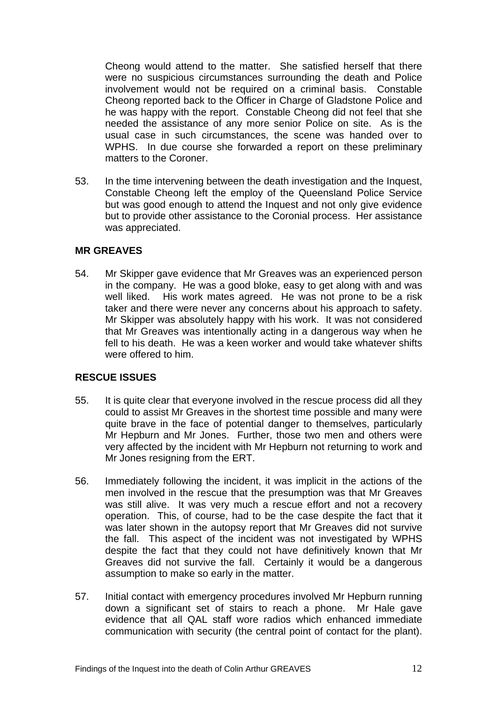Cheong would attend to the matter. She satisfied herself that there were no suspicious circumstances surrounding the death and Police involvement would not be required on a criminal basis. Constable Cheong reported back to the Officer in Charge of Gladstone Police and he was happy with the report. Constable Cheong did not feel that she needed the assistance of any more senior Police on site. As is the usual case in such circumstances, the scene was handed over to WPHS. In due course she forwarded a report on these preliminary matters to the Coroner.

53. In the time intervening between the death investigation and the Inquest, Constable Cheong left the employ of the Queensland Police Service but was good enough to attend the Inquest and not only give evidence but to provide other assistance to the Coronial process. Her assistance was appreciated.

#### **MR GREAVES**

54. Mr Skipper gave evidence that Mr Greaves was an experienced person in the company. He was a good bloke, easy to get along with and was well liked. His work mates agreed. He was not prone to be a risk taker and there were never any concerns about his approach to safety. Mr Skipper was absolutely happy with his work. It was not considered that Mr Greaves was intentionally acting in a dangerous way when he fell to his death. He was a keen worker and would take whatever shifts were offered to him.

## **RESCUE ISSUES**

- 55. It is quite clear that everyone involved in the rescue process did all they could to assist Mr Greaves in the shortest time possible and many were quite brave in the face of potential danger to themselves, particularly Mr Hepburn and Mr Jones. Further, those two men and others were very affected by the incident with Mr Hepburn not returning to work and Mr Jones resigning from the ERT.
- 56. Immediately following the incident, it was implicit in the actions of the men involved in the rescue that the presumption was that Mr Greaves was still alive. It was very much a rescue effort and not a recovery operation. This, of course, had to be the case despite the fact that it was later shown in the autopsy report that Mr Greaves did not survive the fall. This aspect of the incident was not investigated by WPHS despite the fact that they could not have definitively known that Mr Greaves did not survive the fall. Certainly it would be a dangerous assumption to make so early in the matter.
- 57. Initial contact with emergency procedures involved Mr Hepburn running down a significant set of stairs to reach a phone. Mr Hale gave evidence that all QAL staff wore radios which enhanced immediate communication with security (the central point of contact for the plant).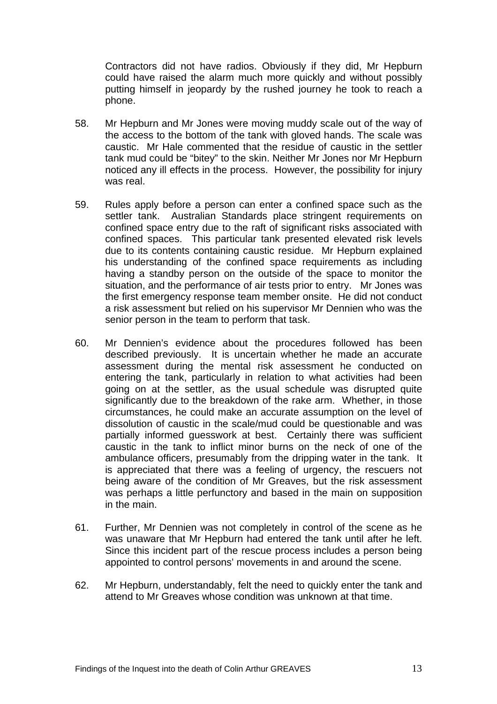Contractors did not have radios. Obviously if they did, Mr Hepburn could have raised the alarm much more quickly and without possibly putting himself in jeopardy by the rushed journey he took to reach a phone.

- 58. Mr Hepburn and Mr Jones were moving muddy scale out of the way of the access to the bottom of the tank with gloved hands. The scale was caustic. Mr Hale commented that the residue of caustic in the settler tank mud could be "bitey" to the skin. Neither Mr Jones nor Mr Hepburn noticed any ill effects in the process. However, the possibility for injury was real.
- 59. Rules apply before a person can enter a confined space such as the settler tank. Australian Standards place stringent requirements on confined space entry due to the raft of significant risks associated with confined spaces. This particular tank presented elevated risk levels due to its contents containing caustic residue. Mr Hepburn explained his understanding of the confined space requirements as including having a standby person on the outside of the space to monitor the situation, and the performance of air tests prior to entry. Mr Jones was the first emergency response team member onsite. He did not conduct a risk assessment but relied on his supervisor Mr Dennien who was the senior person in the team to perform that task.
- 60. Mr Dennien's evidence about the procedures followed has been described previously. It is uncertain whether he made an accurate assessment during the mental risk assessment he conducted on entering the tank, particularly in relation to what activities had been going on at the settler, as the usual schedule was disrupted quite significantly due to the breakdown of the rake arm. Whether, in those circumstances, he could make an accurate assumption on the level of dissolution of caustic in the scale/mud could be questionable and was partially informed guesswork at best. Certainly there was sufficient caustic in the tank to inflict minor burns on the neck of one of the ambulance officers, presumably from the dripping water in the tank. It is appreciated that there was a feeling of urgency, the rescuers not being aware of the condition of Mr Greaves, but the risk assessment was perhaps a little perfunctory and based in the main on supposition in the main.
- 61. Further, Mr Dennien was not completely in control of the scene as he was unaware that Mr Hepburn had entered the tank until after he left. Since this incident part of the rescue process includes a person being appointed to control persons' movements in and around the scene.
- 62. Mr Hepburn, understandably, felt the need to quickly enter the tank and attend to Mr Greaves whose condition was unknown at that time.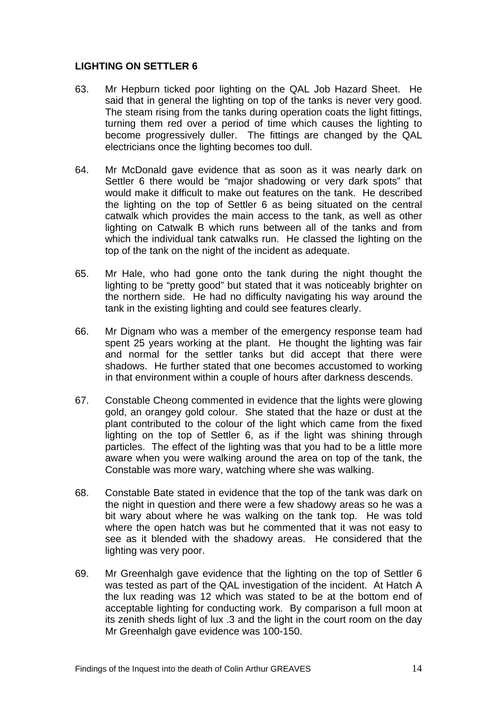# **LIGHTING ON SETTLER 6**

- 63. Mr Hepburn ticked poor lighting on the QAL Job Hazard Sheet. He said that in general the lighting on top of the tanks is never very good. The steam rising from the tanks during operation coats the light fittings, turning them red over a period of time which causes the lighting to become progressively duller. The fittings are changed by the QAL electricians once the lighting becomes too dull.
- 64. Mr McDonald gave evidence that as soon as it was nearly dark on Settler 6 there would be "major shadowing or very dark spots" that would make it difficult to make out features on the tank. He described the lighting on the top of Settler 6 as being situated on the central catwalk which provides the main access to the tank, as well as other lighting on Catwalk B which runs between all of the tanks and from which the individual tank catwalks run. He classed the lighting on the top of the tank on the night of the incident as adequate.
- 65. Mr Hale, who had gone onto the tank during the night thought the lighting to be "pretty good" but stated that it was noticeably brighter on the northern side. He had no difficulty navigating his way around the tank in the existing lighting and could see features clearly.
- 66. Mr Dignam who was a member of the emergency response team had spent 25 years working at the plant. He thought the lighting was fair and normal for the settler tanks but did accept that there were shadows. He further stated that one becomes accustomed to working in that environment within a couple of hours after darkness descends.
- 67. Constable Cheong commented in evidence that the lights were glowing gold, an orangey gold colour. She stated that the haze or dust at the plant contributed to the colour of the light which came from the fixed lighting on the top of Settler 6, as if the light was shining through particles. The effect of the lighting was that you had to be a little more aware when you were walking around the area on top of the tank, the Constable was more wary, watching where she was walking.
- 68. Constable Bate stated in evidence that the top of the tank was dark on the night in question and there were a few shadowy areas so he was a bit wary about where he was walking on the tank top. He was told where the open hatch was but he commented that it was not easy to see as it blended with the shadowy areas. He considered that the lighting was very poor.
- 69. Mr Greenhalgh gave evidence that the lighting on the top of Settler 6 was tested as part of the QAL investigation of the incident. At Hatch A the lux reading was 12 which was stated to be at the bottom end of acceptable lighting for conducting work. By comparison a full moon at its zenith sheds light of lux .3 and the light in the court room on the day Mr Greenhalgh gave evidence was 100-150.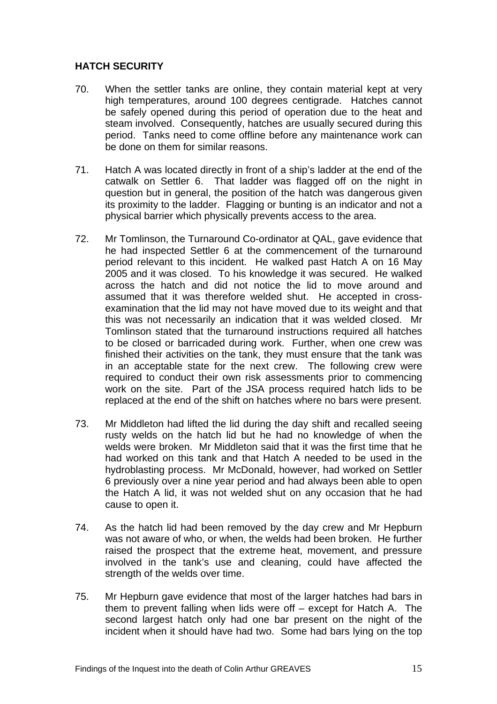# **HATCH SECURITY**

- 70. When the settler tanks are online, they contain material kept at very high temperatures, around 100 degrees centigrade. Hatches cannot be safely opened during this period of operation due to the heat and steam involved. Consequently, hatches are usually secured during this period. Tanks need to come offline before any maintenance work can be done on them for similar reasons.
- 71. Hatch A was located directly in front of a ship's ladder at the end of the catwalk on Settler 6. That ladder was flagged off on the night in question but in general, the position of the hatch was dangerous given its proximity to the ladder. Flagging or bunting is an indicator and not a physical barrier which physically prevents access to the area.
- 72. Mr Tomlinson, the Turnaround Co-ordinator at QAL, gave evidence that he had inspected Settler 6 at the commencement of the turnaround period relevant to this incident. He walked past Hatch A on 16 May 2005 and it was closed. To his knowledge it was secured. He walked across the hatch and did not notice the lid to move around and assumed that it was therefore welded shut. He accepted in crossexamination that the lid may not have moved due to its weight and that this was not necessarily an indication that it was welded closed. Mr Tomlinson stated that the turnaround instructions required all hatches to be closed or barricaded during work. Further, when one crew was finished their activities on the tank, they must ensure that the tank was in an acceptable state for the next crew. The following crew were required to conduct their own risk assessments prior to commencing work on the site. Part of the JSA process required hatch lids to be replaced at the end of the shift on hatches where no bars were present.
- 73. Mr Middleton had lifted the lid during the day shift and recalled seeing rusty welds on the hatch lid but he had no knowledge of when the welds were broken. Mr Middleton said that it was the first time that he had worked on this tank and that Hatch A needed to be used in the hydroblasting process. Mr McDonald, however, had worked on Settler 6 previously over a nine year period and had always been able to open the Hatch A lid, it was not welded shut on any occasion that he had cause to open it.
- 74. As the hatch lid had been removed by the day crew and Mr Hepburn was not aware of who, or when, the welds had been broken. He further raised the prospect that the extreme heat, movement, and pressure involved in the tank's use and cleaning, could have affected the strength of the welds over time.
- 75. Mr Hepburn gave evidence that most of the larger hatches had bars in them to prevent falling when lids were off – except for Hatch A. The second largest hatch only had one bar present on the night of the incident when it should have had two. Some had bars lying on the top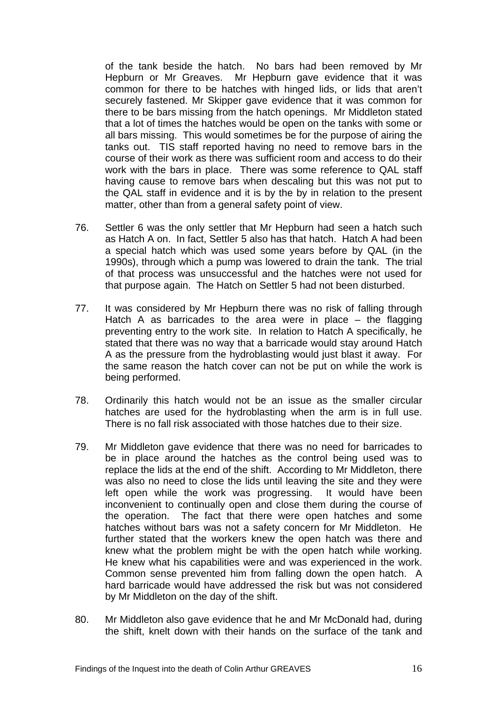of the tank beside the hatch. No bars had been removed by Mr Hepburn or Mr Greaves. Mr Hepburn gave evidence that it was common for there to be hatches with hinged lids, or lids that aren't securely fastened. Mr Skipper gave evidence that it was common for there to be bars missing from the hatch openings. Mr Middleton stated that a lot of times the hatches would be open on the tanks with some or all bars missing. This would sometimes be for the purpose of airing the tanks out. TIS staff reported having no need to remove bars in the course of their work as there was sufficient room and access to do their work with the bars in place. There was some reference to QAL staff having cause to remove bars when descaling but this was not put to the QAL staff in evidence and it is by the by in relation to the present matter, other than from a general safety point of view.

- 76. Settler 6 was the only settler that Mr Hepburn had seen a hatch such as Hatch A on. In fact, Settler 5 also has that hatch. Hatch A had been a special hatch which was used some years before by QAL (in the 1990s), through which a pump was lowered to drain the tank. The trial of that process was unsuccessful and the hatches were not used for that purpose again. The Hatch on Settler 5 had not been disturbed.
- 77. It was considered by Mr Hepburn there was no risk of falling through Hatch A as barricades to the area were in place – the flagging preventing entry to the work site. In relation to Hatch A specifically, he stated that there was no way that a barricade would stay around Hatch A as the pressure from the hydroblasting would just blast it away. For the same reason the hatch cover can not be put on while the work is being performed.
- 78. Ordinarily this hatch would not be an issue as the smaller circular hatches are used for the hydroblasting when the arm is in full use. There is no fall risk associated with those hatches due to their size.
- 79. Mr Middleton gave evidence that there was no need for barricades to be in place around the hatches as the control being used was to replace the lids at the end of the shift. According to Mr Middleton, there was also no need to close the lids until leaving the site and they were left open while the work was progressing. It would have been inconvenient to continually open and close them during the course of the operation. The fact that there were open hatches and some hatches without bars was not a safety concern for Mr Middleton. He further stated that the workers knew the open hatch was there and knew what the problem might be with the open hatch while working. He knew what his capabilities were and was experienced in the work. Common sense prevented him from falling down the open hatch. A hard barricade would have addressed the risk but was not considered by Mr Middleton on the day of the shift.
- 80. Mr Middleton also gave evidence that he and Mr McDonald had, during the shift, knelt down with their hands on the surface of the tank and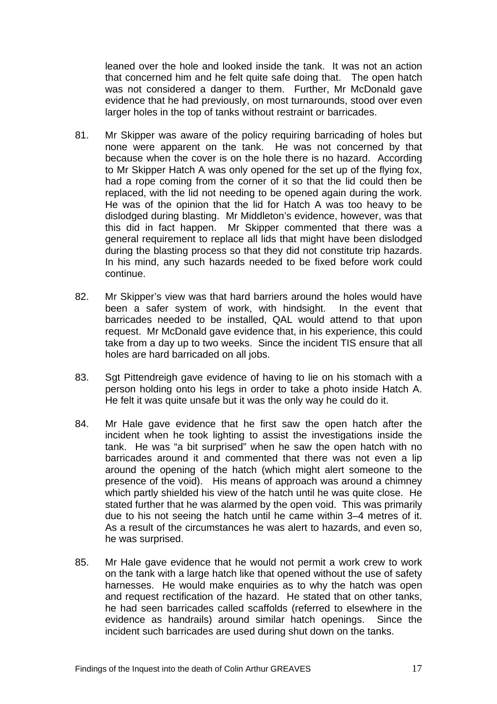leaned over the hole and looked inside the tank. It was not an action that concerned him and he felt quite safe doing that. The open hatch was not considered a danger to them. Further, Mr McDonald gave evidence that he had previously, on most turnarounds, stood over even larger holes in the top of tanks without restraint or barricades.

- 81. Mr Skipper was aware of the policy requiring barricading of holes but none were apparent on the tank. He was not concerned by that because when the cover is on the hole there is no hazard. According to Mr Skipper Hatch A was only opened for the set up of the flying fox, had a rope coming from the corner of it so that the lid could then be replaced, with the lid not needing to be opened again during the work. He was of the opinion that the lid for Hatch A was too heavy to be dislodged during blasting. Mr Middleton's evidence, however, was that this did in fact happen. Mr Skipper commented that there was a general requirement to replace all lids that might have been dislodged during the blasting process so that they did not constitute trip hazards. In his mind, any such hazards needed to be fixed before work could continue.
- 82. Mr Skipper's view was that hard barriers around the holes would have been a safer system of work, with hindsight. In the event that barricades needed to be installed, QAL would attend to that upon request. Mr McDonald gave evidence that, in his experience, this could take from a day up to two weeks. Since the incident TIS ensure that all holes are hard barricaded on all jobs.
- 83. Sgt Pittendreigh gave evidence of having to lie on his stomach with a person holding onto his legs in order to take a photo inside Hatch A. He felt it was quite unsafe but it was the only way he could do it.
- 84. Mr Hale gave evidence that he first saw the open hatch after the incident when he took lighting to assist the investigations inside the tank. He was "a bit surprised" when he saw the open hatch with no barricades around it and commented that there was not even a lip around the opening of the hatch (which might alert someone to the presence of the void). His means of approach was around a chimney which partly shielded his view of the hatch until he was quite close. He stated further that he was alarmed by the open void. This was primarily due to his not seeing the hatch until he came within 3–4 metres of it. As a result of the circumstances he was alert to hazards, and even so, he was surprised.
- 85. Mr Hale gave evidence that he would not permit a work crew to work on the tank with a large hatch like that opened without the use of safety harnesses. He would make enquiries as to why the hatch was open and request rectification of the hazard. He stated that on other tanks, he had seen barricades called scaffolds (referred to elsewhere in the evidence as handrails) around similar hatch openings. Since the incident such barricades are used during shut down on the tanks.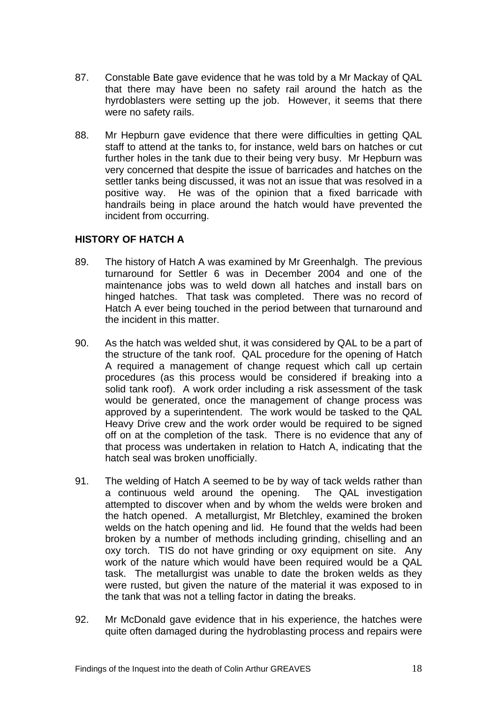- 87. Constable Bate gave evidence that he was told by a Mr Mackay of QAL that there may have been no safety rail around the hatch as the hyrdoblasters were setting up the job. However, it seems that there were no safety rails.
- 88. Mr Hepburn gave evidence that there were difficulties in getting QAL staff to attend at the tanks to, for instance, weld bars on hatches or cut further holes in the tank due to their being very busy. Mr Hepburn was very concerned that despite the issue of barricades and hatches on the settler tanks being discussed, it was not an issue that was resolved in a positive way. He was of the opinion that a fixed barricade with handrails being in place around the hatch would have prevented the incident from occurring.

# **HISTORY OF HATCH A**

- 89. The history of Hatch A was examined by Mr Greenhalgh. The previous turnaround for Settler 6 was in December 2004 and one of the maintenance jobs was to weld down all hatches and install bars on hinged hatches. That task was completed. There was no record of Hatch A ever being touched in the period between that turnaround and the incident in this matter.
- 90. As the hatch was welded shut, it was considered by QAL to be a part of the structure of the tank roof. QAL procedure for the opening of Hatch A required a management of change request which call up certain procedures (as this process would be considered if breaking into a solid tank roof). A work order including a risk assessment of the task would be generated, once the management of change process was approved by a superintendent. The work would be tasked to the QAL Heavy Drive crew and the work order would be required to be signed off on at the completion of the task. There is no evidence that any of that process was undertaken in relation to Hatch A, indicating that the hatch seal was broken unofficially.
- 91. The welding of Hatch A seemed to be by way of tack welds rather than a continuous weld around the opening. The QAL investigation attempted to discover when and by whom the welds were broken and the hatch opened. A metallurgist, Mr Bletchley, examined the broken welds on the hatch opening and lid. He found that the welds had been broken by a number of methods including grinding, chiselling and an oxy torch. TIS do not have grinding or oxy equipment on site. Any work of the nature which would have been required would be a QAL task. The metallurgist was unable to date the broken welds as they were rusted, but given the nature of the material it was exposed to in the tank that was not a telling factor in dating the breaks.
- 92. Mr McDonald gave evidence that in his experience, the hatches were quite often damaged during the hydroblasting process and repairs were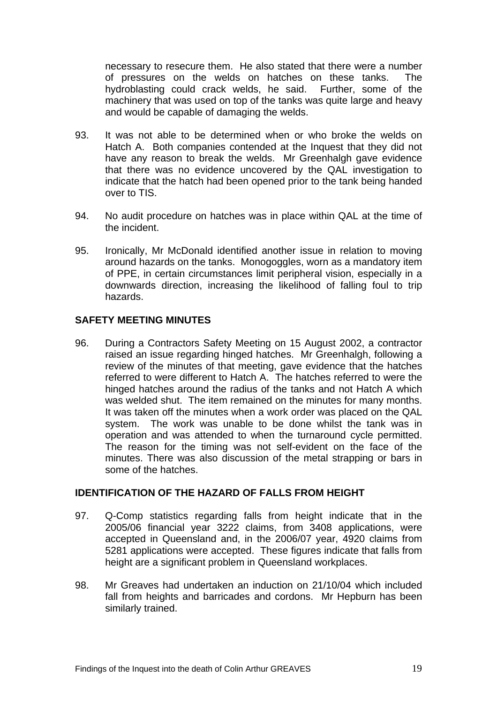necessary to resecure them. He also stated that there were a number of pressures on the welds on hatches on these tanks. The hydroblasting could crack welds, he said. Further, some of the machinery that was used on top of the tanks was quite large and heavy and would be capable of damaging the welds.

- 93. It was not able to be determined when or who broke the welds on Hatch A. Both companies contended at the Inquest that they did not have any reason to break the welds. Mr Greenhalgh gave evidence that there was no evidence uncovered by the QAL investigation to indicate that the hatch had been opened prior to the tank being handed over to TIS.
- 94. No audit procedure on hatches was in place within QAL at the time of the incident.
- 95. Ironically, Mr McDonald identified another issue in relation to moving around hazards on the tanks. Monogoggles, worn as a mandatory item of PPE, in certain circumstances limit peripheral vision, especially in a downwards direction, increasing the likelihood of falling foul to trip hazards.

# **SAFETY MEETING MINUTES**

96. During a Contractors Safety Meeting on 15 August 2002, a contractor raised an issue regarding hinged hatches. Mr Greenhalgh, following a review of the minutes of that meeting, gave evidence that the hatches referred to were different to Hatch A. The hatches referred to were the hinged hatches around the radius of the tanks and not Hatch A which was welded shut. The item remained on the minutes for many months. It was taken off the minutes when a work order was placed on the QAL system. The work was unable to be done whilst the tank was in operation and was attended to when the turnaround cycle permitted. The reason for the timing was not self-evident on the face of the minutes. There was also discussion of the metal strapping or bars in some of the hatches.

## **IDENTIFICATION OF THE HAZARD OF FALLS FROM HEIGHT**

- 97. Q-Comp statistics regarding falls from height indicate that in the 2005/06 financial year 3222 claims, from 3408 applications, were accepted in Queensland and, in the 2006/07 year, 4920 claims from 5281 applications were accepted. These figures indicate that falls from height are a significant problem in Queensland workplaces.
- 98. Mr Greaves had undertaken an induction on 21/10/04 which included fall from heights and barricades and cordons. Mr Hepburn has been similarly trained.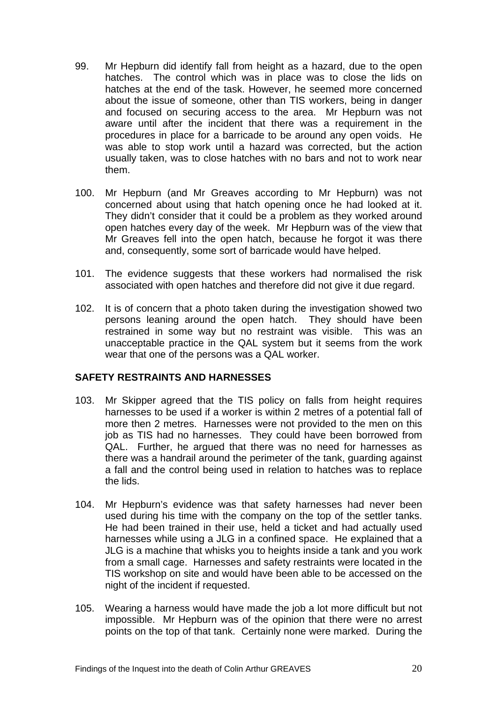- 99. Mr Hepburn did identify fall from height as a hazard, due to the open hatches. The control which was in place was to close the lids on hatches at the end of the task. However, he seemed more concerned about the issue of someone, other than TIS workers, being in danger and focused on securing access to the area. Mr Hepburn was not aware until after the incident that there was a requirement in the procedures in place for a barricade to be around any open voids. He was able to stop work until a hazard was corrected, but the action usually taken, was to close hatches with no bars and not to work near them.
- 100. Mr Hepburn (and Mr Greaves according to Mr Hepburn) was not concerned about using that hatch opening once he had looked at it. They didn't consider that it could be a problem as they worked around open hatches every day of the week. Mr Hepburn was of the view that Mr Greaves fell into the open hatch, because he forgot it was there and, consequently, some sort of barricade would have helped.
- 101. The evidence suggests that these workers had normalised the risk associated with open hatches and therefore did not give it due regard.
- 102. It is of concern that a photo taken during the investigation showed two persons leaning around the open hatch. They should have been restrained in some way but no restraint was visible. This was an unacceptable practice in the QAL system but it seems from the work wear that one of the persons was a QAL worker.

# **SAFETY RESTRAINTS AND HARNESSES**

- 103. Mr Skipper agreed that the TIS policy on falls from height requires harnesses to be used if a worker is within 2 metres of a potential fall of more then 2 metres. Harnesses were not provided to the men on this job as TIS had no harnesses. They could have been borrowed from QAL. Further, he argued that there was no need for harnesses as there was a handrail around the perimeter of the tank, guarding against a fall and the control being used in relation to hatches was to replace the lids.
- 104. Mr Hepburn's evidence was that safety harnesses had never been used during his time with the company on the top of the settler tanks. He had been trained in their use, held a ticket and had actually used harnesses while using a JLG in a confined space. He explained that a JLG is a machine that whisks you to heights inside a tank and you work from a small cage. Harnesses and safety restraints were located in the TIS workshop on site and would have been able to be accessed on the night of the incident if requested.
- 105. Wearing a harness would have made the job a lot more difficult but not impossible. Mr Hepburn was of the opinion that there were no arrest points on the top of that tank. Certainly none were marked. During the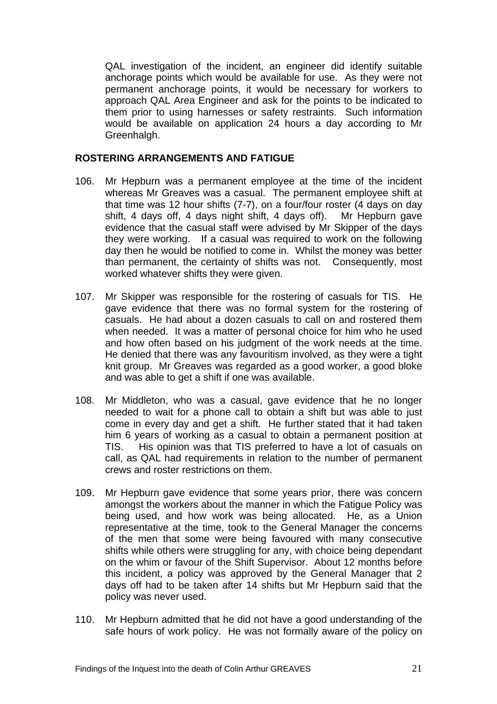QAL investigation of the incident, an engineer did identify suitable anchorage points which would be available for use. As they were not permanent anchorage points, it would be necessary for workers to approach QAL Area Engineer and ask for the points to be indicated to them prior to using harnesses or safety restraints. Such information would be available on application 24 hours a day according to Mr Greenhalgh.

#### **ROSTERING ARRANGEMENTS AND FATIGUE**

- 106. Mr Hepburn was a permanent employee at the time of the incident whereas Mr Greaves was a casual. The permanent employee shift at that time was 12 hour shifts (7-7), on a four/four roster (4 days on day shift, 4 days off, 4 days night shift, 4 days off). Mr Hepburn gave evidence that the casual staff were advised by Mr Skipper of the days they were working. If a casual was required to work on the following day then he would be notified to come in. Whilst the money was better than permanent, the certainty of shifts was not. Consequently, most worked whatever shifts they were given.
- 107. Mr Skipper was responsible for the rostering of casuals for TIS. He gave evidence that there was no formal system for the rostering of casuals. He had about a dozen casuals to call on and rostered them when needed. It was a matter of personal choice for him who he used and how often based on his judgment of the work needs at the time. He denied that there was any favouritism involved, as they were a tight knit group. Mr Greaves was regarded as a good worker, a good bloke and was able to get a shift if one was available.
- 108. Mr Middleton, who was a casual, gave evidence that he no longer needed to wait for a phone call to obtain a shift but was able to just come in every day and get a shift. He further stated that it had taken him 6 years of working as a casual to obtain a permanent position at TIS. His opinion was that TIS preferred to have a lot of casuals on call, as QAL had requirements in relation to the number of permanent crews and roster restrictions on them.
- 109. Mr Hepburn gave evidence that some years prior, there was concern amongst the workers about the manner in which the Fatigue Policy was being used, and how work was being allocated. He, as a Union representative at the time, took to the General Manager the concerns of the men that some were being favoured with many consecutive shifts while others were struggling for any, with choice being dependant on the whim or favour of the Shift Supervisor. About 12 months before this incident, a policy was approved by the General Manager that 2 days off had to be taken after 14 shifts but Mr Hepburn said that the policy was never used.
- 110. Mr Hepburn admitted that he did not have a good understanding of the safe hours of work policy. He was not formally aware of the policy on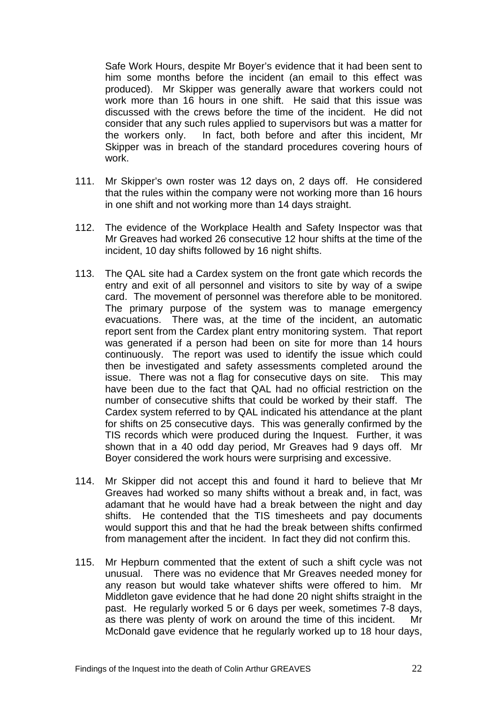Safe Work Hours, despite Mr Boyer's evidence that it had been sent to him some months before the incident (an email to this effect was produced). Mr Skipper was generally aware that workers could not work more than 16 hours in one shift. He said that this issue was discussed with the crews before the time of the incident. He did not consider that any such rules applied to supervisors but was a matter for the workers only. In fact, both before and after this incident, Mr Skipper was in breach of the standard procedures covering hours of work.

- 111. Mr Skipper's own roster was 12 days on, 2 days off. He considered that the rules within the company were not working more than 16 hours in one shift and not working more than 14 days straight.
- 112. The evidence of the Workplace Health and Safety Inspector was that Mr Greaves had worked 26 consecutive 12 hour shifts at the time of the incident, 10 day shifts followed by 16 night shifts.
- 113. The QAL site had a Cardex system on the front gate which records the entry and exit of all personnel and visitors to site by way of a swipe card. The movement of personnel was therefore able to be monitored. The primary purpose of the system was to manage emergency evacuations. There was, at the time of the incident, an automatic report sent from the Cardex plant entry monitoring system. That report was generated if a person had been on site for more than 14 hours continuously. The report was used to identify the issue which could then be investigated and safety assessments completed around the issue. There was not a flag for consecutive days on site. This may have been due to the fact that QAL had no official restriction on the number of consecutive shifts that could be worked by their staff. The Cardex system referred to by QAL indicated his attendance at the plant for shifts on 25 consecutive days. This was generally confirmed by the TIS records which were produced during the Inquest. Further, it was shown that in a 40 odd day period, Mr Greaves had 9 days off. Mr Boyer considered the work hours were surprising and excessive.
- 114. Mr Skipper did not accept this and found it hard to believe that Mr Greaves had worked so many shifts without a break and, in fact, was adamant that he would have had a break between the night and day shifts. He contended that the TIS timesheets and pay documents would support this and that he had the break between shifts confirmed from management after the incident. In fact they did not confirm this.
- 115. Mr Hepburn commented that the extent of such a shift cycle was not unusual. There was no evidence that Mr Greaves needed money for any reason but would take whatever shifts were offered to him. Mr Middleton gave evidence that he had done 20 night shifts straight in the past. He regularly worked 5 or 6 days per week, sometimes 7-8 days, as there was plenty of work on around the time of this incident. Mr McDonald gave evidence that he regularly worked up to 18 hour days,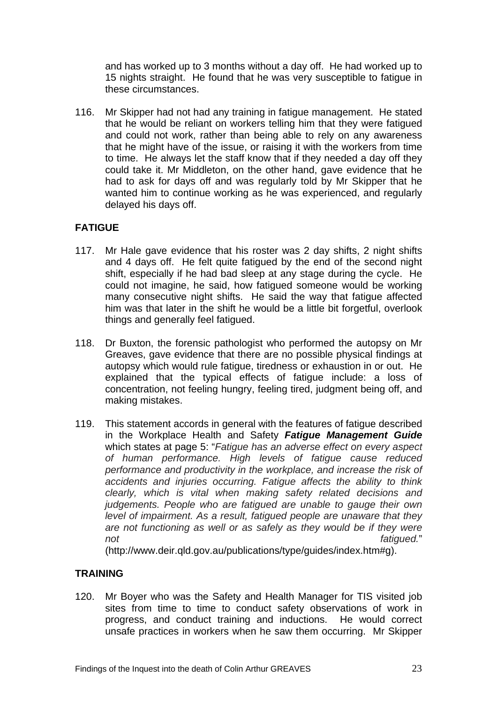and has worked up to 3 months without a day off. He had worked up to 15 nights straight. He found that he was very susceptible to fatigue in these circumstances.

116. Mr Skipper had not had any training in fatigue management. He stated that he would be reliant on workers telling him that they were fatigued and could not work, rather than being able to rely on any awareness that he might have of the issue, or raising it with the workers from time to time. He always let the staff know that if they needed a day off they could take it. Mr Middleton, on the other hand, gave evidence that he had to ask for days off and was regularly told by Mr Skipper that he wanted him to continue working as he was experienced, and regularly delayed his days off.

# **FATIGUE**

- 117. Mr Hale gave evidence that his roster was 2 day shifts, 2 night shifts and 4 days off. He felt quite fatigued by the end of the second night shift, especially if he had bad sleep at any stage during the cycle. He could not imagine, he said, how fatigued someone would be working many consecutive night shifts. He said the way that fatigue affected him was that later in the shift he would be a little bit forgetful, overlook things and generally feel fatigued.
- 118. Dr Buxton, the forensic pathologist who performed the autopsy on Mr Greaves, gave evidence that there are no possible physical findings at autopsy which would rule fatigue, tiredness or exhaustion in or out. He explained that the typical effects of fatigue include: a loss of concentration, not feeling hungry, feeling tired, judgment being off, and making mistakes.
- 119. This statement accords in general with the features of fatigue described in the Workplace Health and Safety *Fatigue Management Guide* which states at page 5: "*Fatigue has an adverse effect on every aspect of human performance. High levels of fatigue cause reduced performance and productivity in the workplace, and increase the risk of accidents and injuries occurring. Fatigue affects the ability to think clearly, which is vital when making safety related decisions and judgements. People who are fatigued are unable to gauge their own level of impairment. As a result, fatigued people are unaware that they are not functioning as well or as safely as they would be if they were not fatigued.*"

(http://www.deir.qld.gov.au/publications/type/guides/index.htm#g).

# **TRAINING**

120. Mr Boyer who was the Safety and Health Manager for TIS visited job sites from time to time to conduct safety observations of work in progress, and conduct training and inductions. He would correct unsafe practices in workers when he saw them occurring. Mr Skipper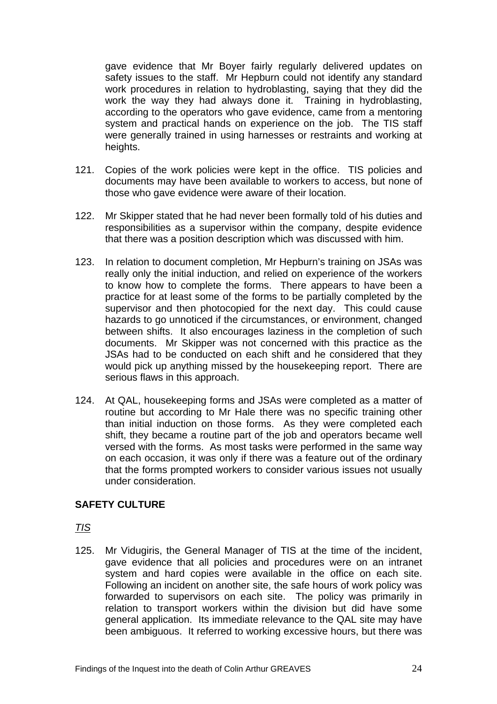gave evidence that Mr Boyer fairly regularly delivered updates on safety issues to the staff. Mr Hepburn could not identify any standard work procedures in relation to hydroblasting, saying that they did the work the way they had always done it. Training in hydroblasting, according to the operators who gave evidence, came from a mentoring system and practical hands on experience on the job. The TIS staff were generally trained in using harnesses or restraints and working at heights.

- 121. Copies of the work policies were kept in the office. TIS policies and documents may have been available to workers to access, but none of those who gave evidence were aware of their location.
- 122. Mr Skipper stated that he had never been formally told of his duties and responsibilities as a supervisor within the company, despite evidence that there was a position description which was discussed with him.
- 123. In relation to document completion, Mr Hepburn's training on JSAs was really only the initial induction, and relied on experience of the workers to know how to complete the forms. There appears to have been a practice for at least some of the forms to be partially completed by the supervisor and then photocopied for the next day. This could cause hazards to go unnoticed if the circumstances, or environment, changed between shifts. It also encourages laziness in the completion of such documents. Mr Skipper was not concerned with this practice as the JSAs had to be conducted on each shift and he considered that they would pick up anything missed by the housekeeping report. There are serious flaws in this approach.
- 124. At QAL, housekeeping forms and JSAs were completed as a matter of routine but according to Mr Hale there was no specific training other than initial induction on those forms. As they were completed each shift, they became a routine part of the job and operators became well versed with the forms. As most tasks were performed in the same way on each occasion, it was only if there was a feature out of the ordinary that the forms prompted workers to consider various issues not usually under consideration.

## **SAFETY CULTURE**

*TIS*

125. Mr Vidugiris, the General Manager of TIS at the time of the incident, gave evidence that all policies and procedures were on an intranet system and hard copies were available in the office on each site. Following an incident on another site, the safe hours of work policy was forwarded to supervisors on each site. The policy was primarily in relation to transport workers within the division but did have some general application. Its immediate relevance to the QAL site may have been ambiguous. It referred to working excessive hours, but there was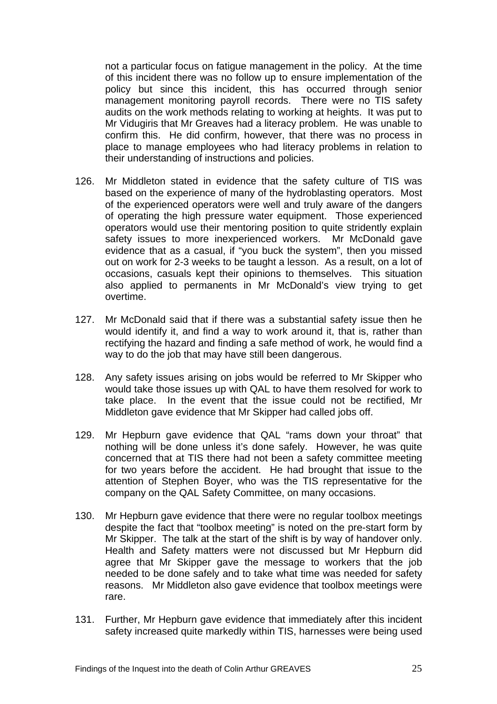not a particular focus on fatigue management in the policy. At the time of this incident there was no follow up to ensure implementation of the policy but since this incident, this has occurred through senior management monitoring payroll records. There were no TIS safety audits on the work methods relating to working at heights. It was put to Mr Vidugiris that Mr Greaves had a literacy problem. He was unable to confirm this. He did confirm, however, that there was no process in place to manage employees who had literacy problems in relation to their understanding of instructions and policies.

- 126. Mr Middleton stated in evidence that the safety culture of TIS was based on the experience of many of the hydroblasting operators. Most of the experienced operators were well and truly aware of the dangers of operating the high pressure water equipment. Those experienced operators would use their mentoring position to quite stridently explain safety issues to more inexperienced workers. Mr McDonald gave evidence that as a casual, if "you buck the system", then you missed out on work for 2-3 weeks to be taught a lesson. As a result, on a lot of occasions, casuals kept their opinions to themselves. This situation also applied to permanents in Mr McDonald's view trying to get overtime.
- 127. Mr McDonald said that if there was a substantial safety issue then he would identify it, and find a way to work around it, that is, rather than rectifying the hazard and finding a safe method of work, he would find a way to do the job that may have still been dangerous.
- 128. Any safety issues arising on jobs would be referred to Mr Skipper who would take those issues up with QAL to have them resolved for work to take place. In the event that the issue could not be rectified, Mr Middleton gave evidence that Mr Skipper had called jobs off.
- 129. Mr Hepburn gave evidence that QAL "rams down your throat" that nothing will be done unless it's done safely. However, he was quite concerned that at TIS there had not been a safety committee meeting for two years before the accident. He had brought that issue to the attention of Stephen Boyer, who was the TIS representative for the company on the QAL Safety Committee, on many occasions.
- 130. Mr Hepburn gave evidence that there were no regular toolbox meetings despite the fact that "toolbox meeting" is noted on the pre-start form by Mr Skipper. The talk at the start of the shift is by way of handover only. Health and Safety matters were not discussed but Mr Hepburn did agree that Mr Skipper gave the message to workers that the job needed to be done safely and to take what time was needed for safety reasons. Mr Middleton also gave evidence that toolbox meetings were rare.
- 131. Further, Mr Hepburn gave evidence that immediately after this incident safety increased quite markedly within TIS, harnesses were being used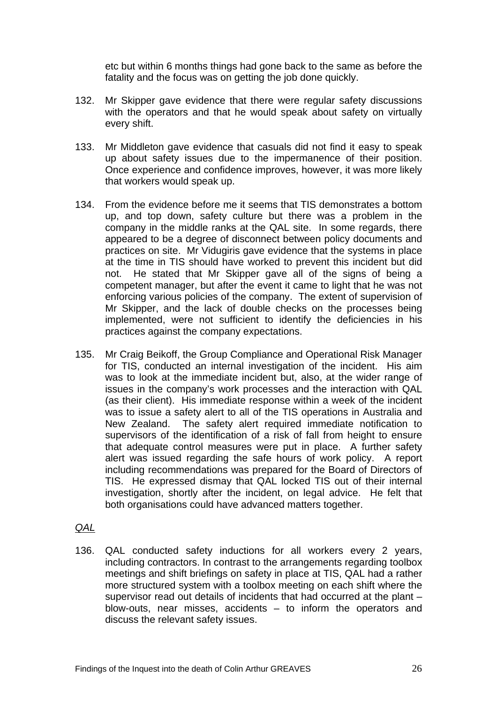etc but within 6 months things had gone back to the same as before the fatality and the focus was on getting the job done quickly.

- 132. Mr Skipper gave evidence that there were regular safety discussions with the operators and that he would speak about safety on virtually every shift.
- 133. Mr Middleton gave evidence that casuals did not find it easy to speak up about safety issues due to the impermanence of their position. Once experience and confidence improves, however, it was more likely that workers would speak up.
- 134. From the evidence before me it seems that TIS demonstrates a bottom up, and top down, safety culture but there was a problem in the company in the middle ranks at the QAL site. In some regards, there appeared to be a degree of disconnect between policy documents and practices on site. Mr Vidugiris gave evidence that the systems in place at the time in TIS should have worked to prevent this incident but did not. He stated that Mr Skipper gave all of the signs of being a competent manager, but after the event it came to light that he was not enforcing various policies of the company. The extent of supervision of Mr Skipper, and the lack of double checks on the processes being implemented, were not sufficient to identify the deficiencies in his practices against the company expectations.
- 135. Mr Craig Beikoff, the Group Compliance and Operational Risk Manager for TIS, conducted an internal investigation of the incident. His aim was to look at the immediate incident but, also, at the wider range of issues in the company's work processes and the interaction with QAL (as their client). His immediate response within a week of the incident was to issue a safety alert to all of the TIS operations in Australia and New Zealand. The safety alert required immediate notification to supervisors of the identification of a risk of fall from height to ensure that adequate control measures were put in place. A further safety alert was issued regarding the safe hours of work policy. A report including recommendations was prepared for the Board of Directors of TIS. He expressed dismay that QAL locked TIS out of their internal investigation, shortly after the incident, on legal advice. He felt that both organisations could have advanced matters together.

#### *QAL*

136. QAL conducted safety inductions for all workers every 2 years, including contractors. In contrast to the arrangements regarding toolbox meetings and shift briefings on safety in place at TIS, QAL had a rather more structured system with a toolbox meeting on each shift where the supervisor read out details of incidents that had occurred at the plant – blow-outs, near misses, accidents – to inform the operators and discuss the relevant safety issues.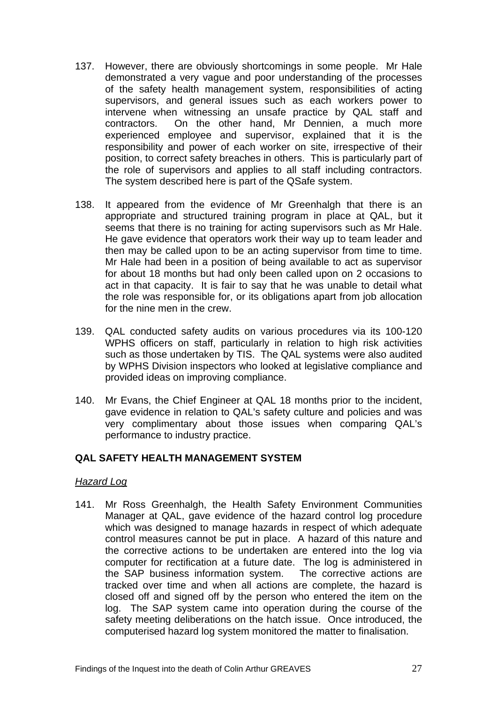- 137. However, there are obviously shortcomings in some people. Mr Hale demonstrated a very vague and poor understanding of the processes of the safety health management system, responsibilities of acting supervisors, and general issues such as each workers power to intervene when witnessing an unsafe practice by QAL staff and contractors. On the other hand, Mr Dennien, a much more experienced employee and supervisor, explained that it is the responsibility and power of each worker on site, irrespective of their position, to correct safety breaches in others. This is particularly part of the role of supervisors and applies to all staff including contractors. The system described here is part of the QSafe system.
- 138. It appeared from the evidence of Mr Greenhalgh that there is an appropriate and structured training program in place at QAL, but it seems that there is no training for acting supervisors such as Mr Hale. He gave evidence that operators work their way up to team leader and then may be called upon to be an acting supervisor from time to time. Mr Hale had been in a position of being available to act as supervisor for about 18 months but had only been called upon on 2 occasions to act in that capacity. It is fair to say that he was unable to detail what the role was responsible for, or its obligations apart from job allocation for the nine men in the crew.
- 139. QAL conducted safety audits on various procedures via its 100-120 WPHS officers on staff, particularly in relation to high risk activities such as those undertaken by TIS. The QAL systems were also audited by WPHS Division inspectors who looked at legislative compliance and provided ideas on improving compliance.
- 140. Mr Evans, the Chief Engineer at QAL 18 months prior to the incident, gave evidence in relation to QAL's safety culture and policies and was very complimentary about those issues when comparing QAL's performance to industry practice.

## **QAL SAFETY HEALTH MANAGEMENT SYSTEM**

## *Hazard Log*

141. Mr Ross Greenhalgh, the Health Safety Environment Communities Manager at QAL, gave evidence of the hazard control log procedure which was designed to manage hazards in respect of which adequate control measures cannot be put in place. A hazard of this nature and the corrective actions to be undertaken are entered into the log via computer for rectification at a future date. The log is administered in the SAP business information system. The corrective actions are tracked over time and when all actions are complete, the hazard is closed off and signed off by the person who entered the item on the log. The SAP system came into operation during the course of the safety meeting deliberations on the hatch issue. Once introduced, the computerised hazard log system monitored the matter to finalisation.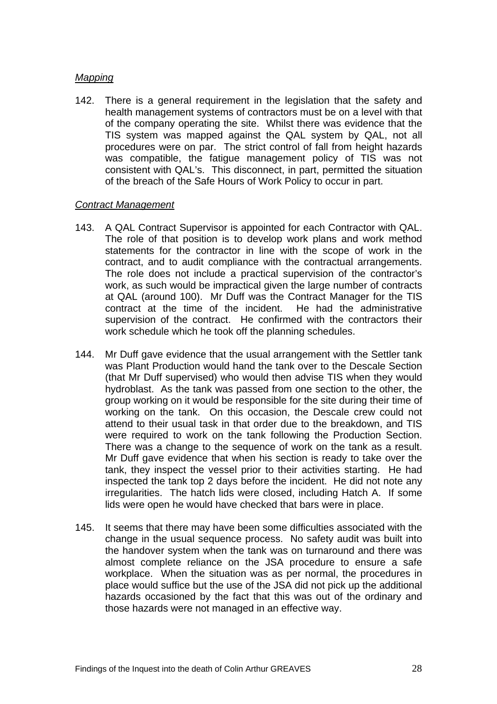#### *Mapping*

142. There is a general requirement in the legislation that the safety and health management systems of contractors must be on a level with that of the company operating the site. Whilst there was evidence that the TIS system was mapped against the QAL system by QAL, not all procedures were on par. The strict control of fall from height hazards was compatible, the fatigue management policy of TIS was not consistent with QAL's. This disconnect, in part, permitted the situation of the breach of the Safe Hours of Work Policy to occur in part.

#### *Contract Management*

- 143. A QAL Contract Supervisor is appointed for each Contractor with QAL. The role of that position is to develop work plans and work method statements for the contractor in line with the scope of work in the contract, and to audit compliance with the contractual arrangements. The role does not include a practical supervision of the contractor's work, as such would be impractical given the large number of contracts at QAL (around 100). Mr Duff was the Contract Manager for the TIS contract at the time of the incident. He had the administrative supervision of the contract. He confirmed with the contractors their work schedule which he took off the planning schedules.
- 144. Mr Duff gave evidence that the usual arrangement with the Settler tank was Plant Production would hand the tank over to the Descale Section (that Mr Duff supervised) who would then advise TIS when they would hydroblast. As the tank was passed from one section to the other, the group working on it would be responsible for the site during their time of working on the tank. On this occasion, the Descale crew could not attend to their usual task in that order due to the breakdown, and TIS were required to work on the tank following the Production Section. There was a change to the sequence of work on the tank as a result. Mr Duff gave evidence that when his section is ready to take over the tank, they inspect the vessel prior to their activities starting. He had inspected the tank top 2 days before the incident. He did not note any irregularities. The hatch lids were closed, including Hatch A. If some lids were open he would have checked that bars were in place.
- 145. It seems that there may have been some difficulties associated with the change in the usual sequence process. No safety audit was built into the handover system when the tank was on turnaround and there was almost complete reliance on the JSA procedure to ensure a safe workplace. When the situation was as per normal, the procedures in place would suffice but the use of the JSA did not pick up the additional hazards occasioned by the fact that this was out of the ordinary and those hazards were not managed in an effective way.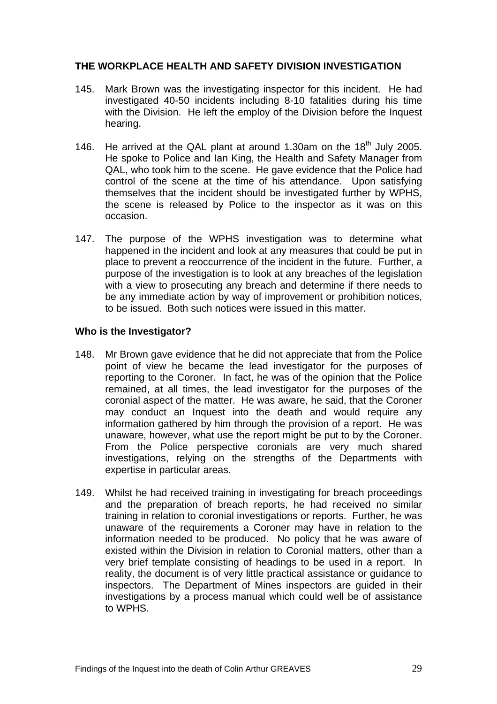## **THE WORKPLACE HEALTH AND SAFETY DIVISION INVESTIGATION**

- 145. Mark Brown was the investigating inspector for this incident. He had investigated 40-50 incidents including 8-10 fatalities during his time with the Division. He left the employ of the Division before the Inquest hearing.
- 146. He arrived at the QAL plant at around 1.30am on the  $18<sup>th</sup>$  July 2005. He spoke to Police and Ian King, the Health and Safety Manager from QAL, who took him to the scene. He gave evidence that the Police had control of the scene at the time of his attendance. Upon satisfying themselves that the incident should be investigated further by WPHS, the scene is released by Police to the inspector as it was on this occasion.
- 147. The purpose of the WPHS investigation was to determine what happened in the incident and look at any measures that could be put in place to prevent a reoccurrence of the incident in the future. Further, a purpose of the investigation is to look at any breaches of the legislation with a view to prosecuting any breach and determine if there needs to be any immediate action by way of improvement or prohibition notices, to be issued. Both such notices were issued in this matter.

## **Who is the Investigator?**

- 148. Mr Brown gave evidence that he did not appreciate that from the Police point of view he became the lead investigator for the purposes of reporting to the Coroner. In fact, he was of the opinion that the Police remained, at all times, the lead investigator for the purposes of the coronial aspect of the matter. He was aware, he said, that the Coroner may conduct an Inquest into the death and would require any information gathered by him through the provision of a report. He was unaware, however, what use the report might be put to by the Coroner. From the Police perspective coronials are very much shared investigations, relying on the strengths of the Departments with expertise in particular areas.
- 149. Whilst he had received training in investigating for breach proceedings and the preparation of breach reports, he had received no similar training in relation to coronial investigations or reports. Further, he was unaware of the requirements a Coroner may have in relation to the information needed to be produced. No policy that he was aware of existed within the Division in relation to Coronial matters, other than a very brief template consisting of headings to be used in a report. In reality, the document is of very little practical assistance or guidance to inspectors. The Department of Mines inspectors are guided in their investigations by a process manual which could well be of assistance to WPHS.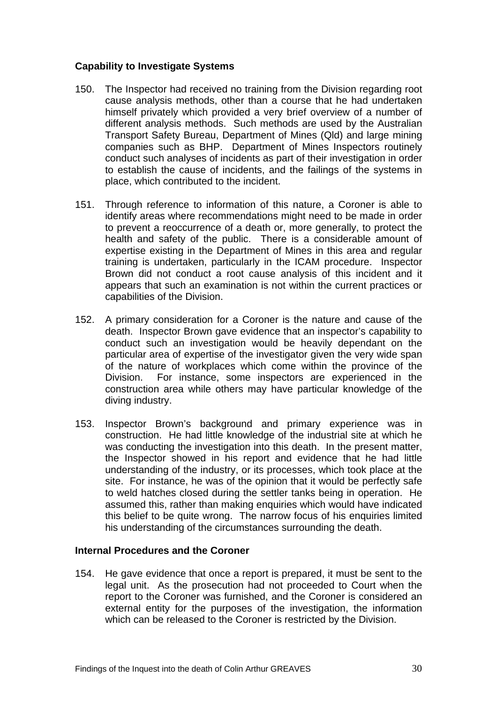## **Capability to Investigate Systems**

- 150. The Inspector had received no training from the Division regarding root cause analysis methods, other than a course that he had undertaken himself privately which provided a very brief overview of a number of different analysis methods. Such methods are used by the Australian Transport Safety Bureau, Department of Mines (Qld) and large mining companies such as BHP. Department of Mines Inspectors routinely conduct such analyses of incidents as part of their investigation in order to establish the cause of incidents, and the failings of the systems in place, which contributed to the incident.
- 151. Through reference to information of this nature, a Coroner is able to identify areas where recommendations might need to be made in order to prevent a reoccurrence of a death or, more generally, to protect the health and safety of the public. There is a considerable amount of expertise existing in the Department of Mines in this area and regular training is undertaken, particularly in the ICAM procedure. Inspector Brown did not conduct a root cause analysis of this incident and it appears that such an examination is not within the current practices or capabilities of the Division.
- 152. A primary consideration for a Coroner is the nature and cause of the death. Inspector Brown gave evidence that an inspector's capability to conduct such an investigation would be heavily dependant on the particular area of expertise of the investigator given the very wide span of the nature of workplaces which come within the province of the Division. For instance, some inspectors are experienced in the construction area while others may have particular knowledge of the diving industry.
- 153. Inspector Brown's background and primary experience was in construction. He had little knowledge of the industrial site at which he was conducting the investigation into this death. In the present matter, the Inspector showed in his report and evidence that he had little understanding of the industry, or its processes, which took place at the site. For instance, he was of the opinion that it would be perfectly safe to weld hatches closed during the settler tanks being in operation. He assumed this, rather than making enquiries which would have indicated this belief to be quite wrong. The narrow focus of his enquiries limited his understanding of the circumstances surrounding the death.

## **Internal Procedures and the Coroner**

154. He gave evidence that once a report is prepared, it must be sent to the legal unit. As the prosecution had not proceeded to Court when the report to the Coroner was furnished, and the Coroner is considered an external entity for the purposes of the investigation, the information which can be released to the Coroner is restricted by the Division.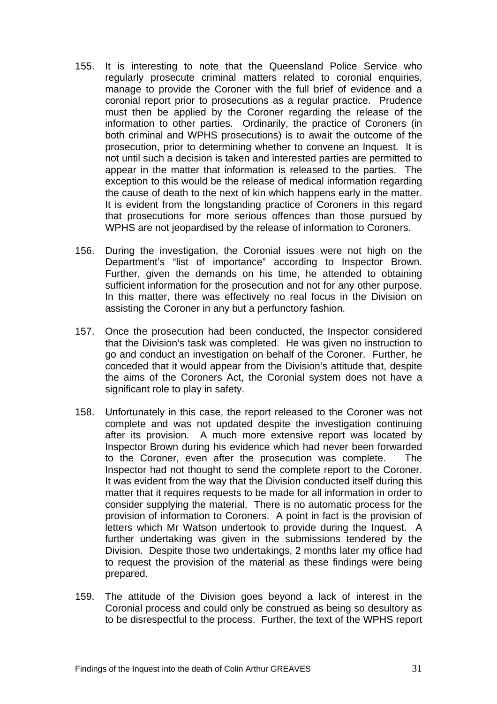- 155. It is interesting to note that the Queensland Police Service who regularly prosecute criminal matters related to coronial enquiries, manage to provide the Coroner with the full brief of evidence and a coronial report prior to prosecutions as a regular practice. Prudence must then be applied by the Coroner regarding the release of the information to other parties. Ordinarily, the practice of Coroners (in both criminal and WPHS prosecutions) is to await the outcome of the prosecution, prior to determining whether to convene an Inquest. It is not until such a decision is taken and interested parties are permitted to appear in the matter that information is released to the parties. The exception to this would be the release of medical information regarding the cause of death to the next of kin which happens early in the matter. It is evident from the longstanding practice of Coroners in this regard that prosecutions for more serious offences than those pursued by WPHS are not jeopardised by the release of information to Coroners.
- 156. During the investigation, the Coronial issues were not high on the Department's "list of importance" according to Inspector Brown. Further, given the demands on his time, he attended to obtaining sufficient information for the prosecution and not for any other purpose. In this matter, there was effectively no real focus in the Division on assisting the Coroner in any but a perfunctory fashion.
- 157. Once the prosecution had been conducted, the Inspector considered that the Division's task was completed. He was given no instruction to go and conduct an investigation on behalf of the Coroner. Further, he conceded that it would appear from the Division's attitude that, despite the aims of the Coroners Act, the Coronial system does not have a significant role to play in safety.
- 158. Unfortunately in this case, the report released to the Coroner was not complete and was not updated despite the investigation continuing after its provision. A much more extensive report was located by Inspector Brown during his evidence which had never been forwarded to the Coroner, even after the prosecution was complete. The Inspector had not thought to send the complete report to the Coroner. It was evident from the way that the Division conducted itself during this matter that it requires requests to be made for all information in order to consider supplying the material. There is no automatic process for the provision of information to Coroners. A point in fact is the provision of letters which Mr Watson undertook to provide during the Inquest. A further undertaking was given in the submissions tendered by the Division. Despite those two undertakings, 2 months later my office had to request the provision of the material as these findings were being prepared.
- 159. The attitude of the Division goes beyond a lack of interest in the Coronial process and could only be construed as being so desultory as to be disrespectful to the process. Further, the text of the WPHS report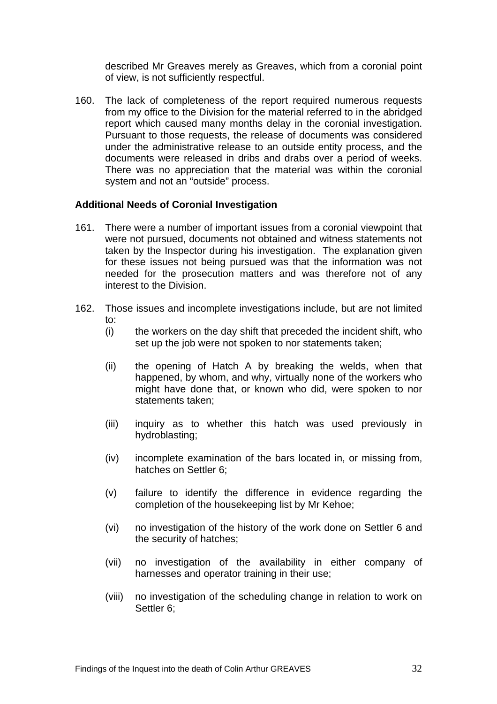described Mr Greaves merely as Greaves, which from a coronial point of view, is not sufficiently respectful.

160. The lack of completeness of the report required numerous requests from my office to the Division for the material referred to in the abridged report which caused many months delay in the coronial investigation. Pursuant to those requests, the release of documents was considered under the administrative release to an outside entity process, and the documents were released in dribs and drabs over a period of weeks. There was no appreciation that the material was within the coronial system and not an "outside" process.

#### **Additional Needs of Coronial Investigation**

- 161. There were a number of important issues from a coronial viewpoint that were not pursued, documents not obtained and witness statements not taken by the Inspector during his investigation. The explanation given for these issues not being pursued was that the information was not needed for the prosecution matters and was therefore not of any interest to the Division.
- 162. Those issues and incomplete investigations include, but are not limited to:
	- (i) the workers on the day shift that preceded the incident shift, who set up the job were not spoken to nor statements taken;
	- (ii) the opening of Hatch A by breaking the welds, when that happened, by whom, and why, virtually none of the workers who might have done that, or known who did, were spoken to nor statements taken;
	- (iii) inquiry as to whether this hatch was used previously in hydroblasting;
	- (iv) incomplete examination of the bars located in, or missing from, hatches on Settler 6;
	- (v) failure to identify the difference in evidence regarding the completion of the housekeeping list by Mr Kehoe;
	- (vi) no investigation of the history of the work done on Settler 6 and the security of hatches;
	- (vii) no investigation of the availability in either company of harnesses and operator training in their use;
	- (viii) no investigation of the scheduling change in relation to work on Settler 6;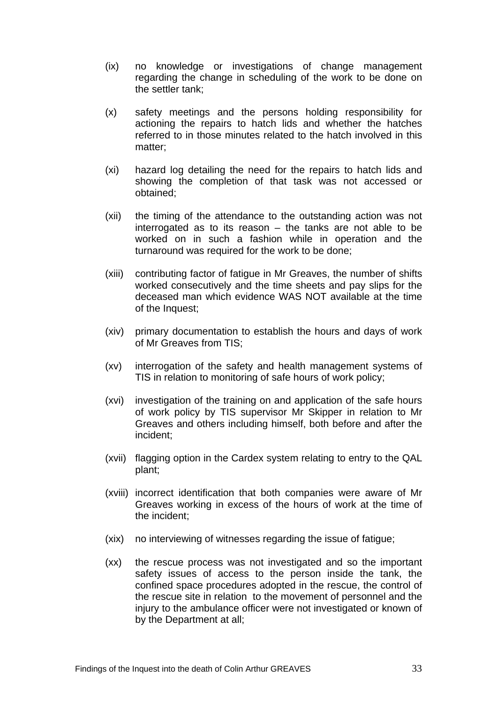- (ix) no knowledge or investigations of change management regarding the change in scheduling of the work to be done on the settler tank;
- (x) safety meetings and the persons holding responsibility for actioning the repairs to hatch lids and whether the hatches referred to in those minutes related to the hatch involved in this matter;
- (xi) hazard log detailing the need for the repairs to hatch lids and showing the completion of that task was not accessed or obtained;
- (xii) the timing of the attendance to the outstanding action was not interrogated as to its reason – the tanks are not able to be worked on in such a fashion while in operation and the turnaround was required for the work to be done;
- (xiii) contributing factor of fatigue in Mr Greaves, the number of shifts worked consecutively and the time sheets and pay slips for the deceased man which evidence WAS NOT available at the time of the Inquest;
- (xiv) primary documentation to establish the hours and days of work of Mr Greaves from TIS;
- (xv) interrogation of the safety and health management systems of TIS in relation to monitoring of safe hours of work policy;
- (xvi) investigation of the training on and application of the safe hours of work policy by TIS supervisor Mr Skipper in relation to Mr Greaves and others including himself, both before and after the incident;
- (xvii) flagging option in the Cardex system relating to entry to the QAL plant;
- (xviii) incorrect identification that both companies were aware of Mr Greaves working in excess of the hours of work at the time of the incident;
- (xix) no interviewing of witnesses regarding the issue of fatigue;
- (xx) the rescue process was not investigated and so the important safety issues of access to the person inside the tank, the confined space procedures adopted in the rescue, the control of the rescue site in relation to the movement of personnel and the injury to the ambulance officer were not investigated or known of by the Department at all;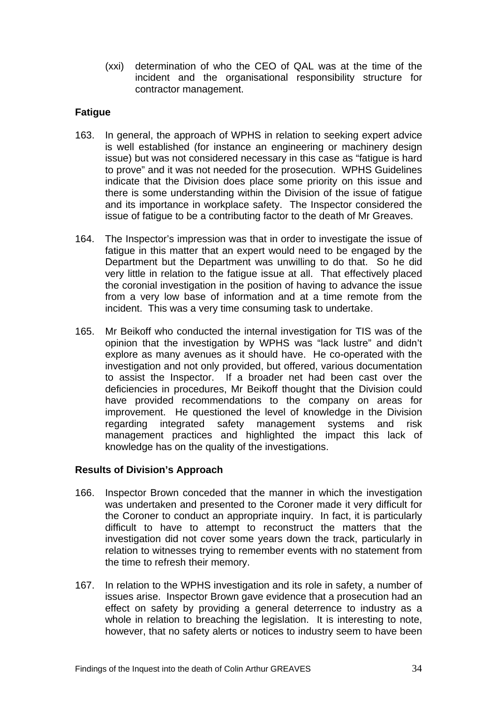(xxi) determination of who the CEO of QAL was at the time of the incident and the organisational responsibility structure for contractor management.

## **Fatigue**

- 163. In general, the approach of WPHS in relation to seeking expert advice is well established (for instance an engineering or machinery design issue) but was not considered necessary in this case as "fatigue is hard to prove" and it was not needed for the prosecution. WPHS Guidelines indicate that the Division does place some priority on this issue and there is some understanding within the Division of the issue of fatigue and its importance in workplace safety. The Inspector considered the issue of fatigue to be a contributing factor to the death of Mr Greaves.
- 164. The Inspector's impression was that in order to investigate the issue of fatigue in this matter that an expert would need to be engaged by the Department but the Department was unwilling to do that. So he did very little in relation to the fatigue issue at all. That effectively placed the coronial investigation in the position of having to advance the issue from a very low base of information and at a time remote from the incident. This was a very time consuming task to undertake.
- 165. Mr Beikoff who conducted the internal investigation for TIS was of the opinion that the investigation by WPHS was "lack lustre" and didn't explore as many avenues as it should have. He co-operated with the investigation and not only provided, but offered, various documentation to assist the Inspector. If a broader net had been cast over the deficiencies in procedures, Mr Beikoff thought that the Division could have provided recommendations to the company on areas for improvement. He questioned the level of knowledge in the Division regarding integrated safety management systems and risk management practices and highlighted the impact this lack of knowledge has on the quality of the investigations.

## **Results of Division's Approach**

- 166. Inspector Brown conceded that the manner in which the investigation was undertaken and presented to the Coroner made it very difficult for the Coroner to conduct an appropriate inquiry. In fact, it is particularly difficult to have to attempt to reconstruct the matters that the investigation did not cover some years down the track, particularly in relation to witnesses trying to remember events with no statement from the time to refresh their memory.
- 167. In relation to the WPHS investigation and its role in safety, a number of issues arise. Inspector Brown gave evidence that a prosecution had an effect on safety by providing a general deterrence to industry as a whole in relation to breaching the legislation. It is interesting to note, however, that no safety alerts or notices to industry seem to have been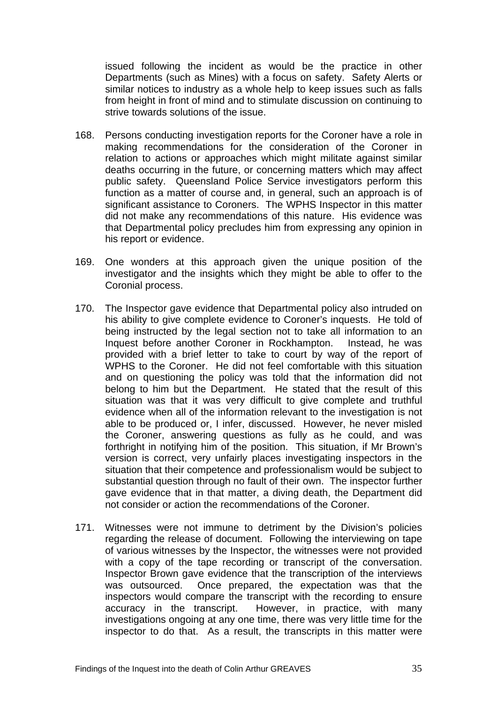issued following the incident as would be the practice in other Departments (such as Mines) with a focus on safety. Safety Alerts or similar notices to industry as a whole help to keep issues such as falls from height in front of mind and to stimulate discussion on continuing to strive towards solutions of the issue.

- 168. Persons conducting investigation reports for the Coroner have a role in making recommendations for the consideration of the Coroner in relation to actions or approaches which might militate against similar deaths occurring in the future, or concerning matters which may affect public safety. Queensland Police Service investigators perform this function as a matter of course and, in general, such an approach is of significant assistance to Coroners. The WPHS Inspector in this matter did not make any recommendations of this nature. His evidence was that Departmental policy precludes him from expressing any opinion in his report or evidence.
- 169. One wonders at this approach given the unique position of the investigator and the insights which they might be able to offer to the Coronial process.
- 170. The Inspector gave evidence that Departmental policy also intruded on his ability to give complete evidence to Coroner's inquests. He told of being instructed by the legal section not to take all information to an Inquest before another Coroner in Rockhampton. Instead, he was provided with a brief letter to take to court by way of the report of WPHS to the Coroner. He did not feel comfortable with this situation and on questioning the policy was told that the information did not belong to him but the Department. He stated that the result of this situation was that it was very difficult to give complete and truthful evidence when all of the information relevant to the investigation is not able to be produced or, I infer, discussed. However, he never misled the Coroner, answering questions as fully as he could, and was forthright in notifying him of the position. This situation, if Mr Brown's version is correct, very unfairly places investigating inspectors in the situation that their competence and professionalism would be subject to substantial question through no fault of their own. The inspector further gave evidence that in that matter, a diving death, the Department did not consider or action the recommendations of the Coroner.
- 171. Witnesses were not immune to detriment by the Division's policies regarding the release of document. Following the interviewing on tape of various witnesses by the Inspector, the witnesses were not provided with a copy of the tape recording or transcript of the conversation. Inspector Brown gave evidence that the transcription of the interviews was outsourced. Once prepared, the expectation was that the inspectors would compare the transcript with the recording to ensure accuracy in the transcript. However, in practice, with many investigations ongoing at any one time, there was very little time for the inspector to do that. As a result, the transcripts in this matter were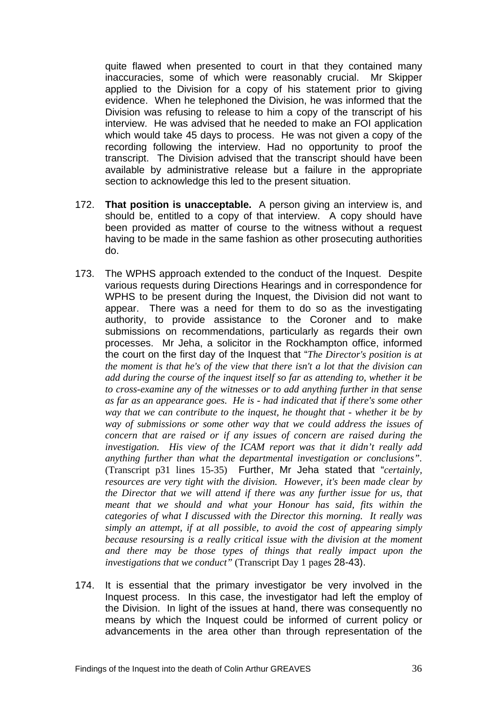quite flawed when presented to court in that they contained many inaccuracies, some of which were reasonably crucial. Mr Skipper applied to the Division for a copy of his statement prior to giving evidence. When he telephoned the Division, he was informed that the Division was refusing to release to him a copy of the transcript of his interview. He was advised that he needed to make an FOI application which would take 45 days to process. He was not given a copy of the recording following the interview. Had no opportunity to proof the transcript. The Division advised that the transcript should have been available by administrative release but a failure in the appropriate section to acknowledge this led to the present situation.

- 172. **That position is unacceptable.** A person giving an interview is, and should be, entitled to a copy of that interview. A copy should have been provided as matter of course to the witness without a request having to be made in the same fashion as other prosecuting authorities do.
- 173. The WPHS approach extended to the conduct of the Inquest. Despite various requests during Directions Hearings and in correspondence for WPHS to be present during the Inquest, the Division did not want to appear. There was a need for them to do so as the investigating authority, to provide assistance to the Coroner and to make submissions on recommendations, particularly as regards their own processes. Mr Jeha, a solicitor in the Rockhampton office, informed the court on the first day of the Inquest that "*The Director's position is at the moment is that he's of the view that there isn't a lot that the division can add during the course of the inquest itself so far as attending to, whether it be to cross-examine any of the witnesses or to add anything further in that sense as far as an appearance goes. He is - had indicated that if there's some other way that we can contribute to the inquest, he thought that - whether it be by way of submissions or some other way that we could address the issues of concern that are raised or if any issues of concern are raised during the investigation. His view of the ICAM report was that it didn't really add anything further than what the departmental investigation or conclusions".*  (Transcript p31 lines 15-35) Further, Mr Jeha stated that "*certainly, resources are very tight with the division. However, it's been made clear by the Director that we will attend if there was any further issue for us, that meant that we should and what your Honour has said, fits within the categories of what I discussed with the Director this morning. It really was simply an attempt, if at all possible, to avoid the cost of appearing simply because resoursing is a really critical issue with the division at the moment and there may be those types of things that really impact upon the investigations that we conduct"* (Transcript Day 1 pages 28-43).
- 174. It is essential that the primary investigator be very involved in the Inquest process. In this case, the investigator had left the employ of the Division. In light of the issues at hand, there was consequently no means by which the Inquest could be informed of current policy or advancements in the area other than through representation of the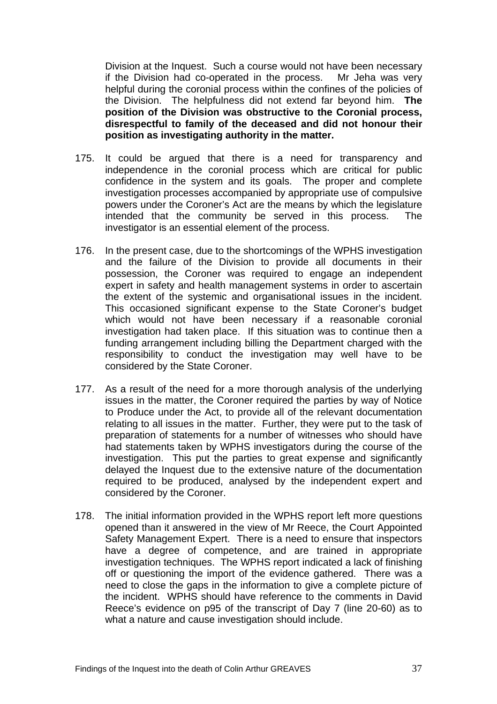Division at the Inquest. Such a course would not have been necessary if the Division had co-operated in the process. Mr Jeha was very helpful during the coronial process within the confines of the policies of the Division. The helpfulness did not extend far beyond him. **The position of the Division was obstructive to the Coronial process, disrespectful to family of the deceased and did not honour their position as investigating authority in the matter.** 

- 175. It could be argued that there is a need for transparency and independence in the coronial process which are critical for public confidence in the system and its goals. The proper and complete investigation processes accompanied by appropriate use of compulsive powers under the Coroner's Act are the means by which the legislature intended that the community be served in this process. The investigator is an essential element of the process.
- 176. In the present case, due to the shortcomings of the WPHS investigation and the failure of the Division to provide all documents in their possession, the Coroner was required to engage an independent expert in safety and health management systems in order to ascertain the extent of the systemic and organisational issues in the incident. This occasioned significant expense to the State Coroner's budget which would not have been necessary if a reasonable coronial investigation had taken place. If this situation was to continue then a funding arrangement including billing the Department charged with the responsibility to conduct the investigation may well have to be considered by the State Coroner.
- 177. As a result of the need for a more thorough analysis of the underlying issues in the matter, the Coroner required the parties by way of Notice to Produce under the Act, to provide all of the relevant documentation relating to all issues in the matter. Further, they were put to the task of preparation of statements for a number of witnesses who should have had statements taken by WPHS investigators during the course of the investigation. This put the parties to great expense and significantly delayed the Inquest due to the extensive nature of the documentation required to be produced, analysed by the independent expert and considered by the Coroner.
- 178. The initial information provided in the WPHS report left more questions opened than it answered in the view of Mr Reece, the Court Appointed Safety Management Expert. There is a need to ensure that inspectors have a degree of competence, and are trained in appropriate investigation techniques. The WPHS report indicated a lack of finishing off or questioning the import of the evidence gathered. There was a need to close the gaps in the information to give a complete picture of the incident. WPHS should have reference to the comments in David Reece's evidence on p95 of the transcript of Day 7 (line 20-60) as to what a nature and cause investigation should include.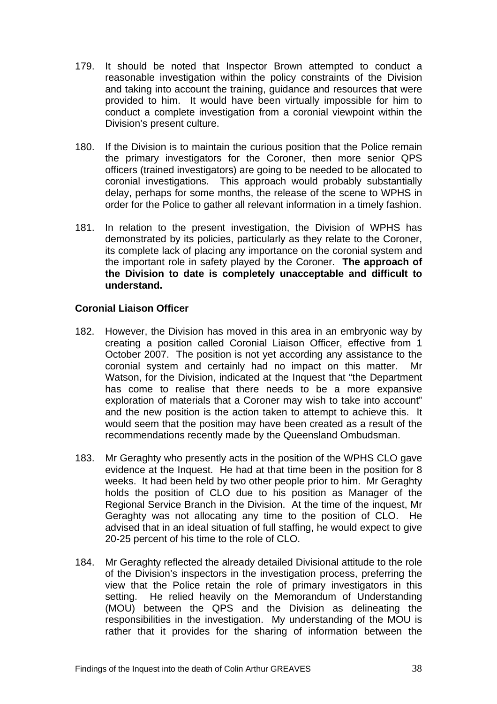- 179. It should be noted that Inspector Brown attempted to conduct a reasonable investigation within the policy constraints of the Division and taking into account the training, guidance and resources that were provided to him. It would have been virtually impossible for him to conduct a complete investigation from a coronial viewpoint within the Division's present culture.
- 180. If the Division is to maintain the curious position that the Police remain the primary investigators for the Coroner, then more senior QPS officers (trained investigators) are going to be needed to be allocated to coronial investigations. This approach would probably substantially delay, perhaps for some months, the release of the scene to WPHS in order for the Police to gather all relevant information in a timely fashion.
- 181. In relation to the present investigation, the Division of WPHS has demonstrated by its policies, particularly as they relate to the Coroner, its complete lack of placing any importance on the coronial system and the important role in safety played by the Coroner. **The approach of the Division to date is completely unacceptable and difficult to understand.**

## **Coronial Liaison Officer**

- 182. However, the Division has moved in this area in an embryonic way by creating a position called Coronial Liaison Officer, effective from 1 October 2007. The position is not yet according any assistance to the coronial system and certainly had no impact on this matter. Mr Watson, for the Division, indicated at the Inquest that "the Department has come to realise that there needs to be a more expansive exploration of materials that a Coroner may wish to take into account" and the new position is the action taken to attempt to achieve this. It would seem that the position may have been created as a result of the recommendations recently made by the Queensland Ombudsman.
- 183. Mr Geraghty who presently acts in the position of the WPHS CLO gave evidence at the Inquest. He had at that time been in the position for 8 weeks. It had been held by two other people prior to him. Mr Geraghty holds the position of CLO due to his position as Manager of the Regional Service Branch in the Division. At the time of the inquest, Mr Geraghty was not allocating any time to the position of CLO. He advised that in an ideal situation of full staffing, he would expect to give 20-25 percent of his time to the role of CLO.
- 184. Mr Geraghty reflected the already detailed Divisional attitude to the role of the Division's inspectors in the investigation process, preferring the view that the Police retain the role of primary investigators in this setting. He relied heavily on the Memorandum of Understanding (MOU) between the QPS and the Division as delineating the responsibilities in the investigation. My understanding of the MOU is rather that it provides for the sharing of information between the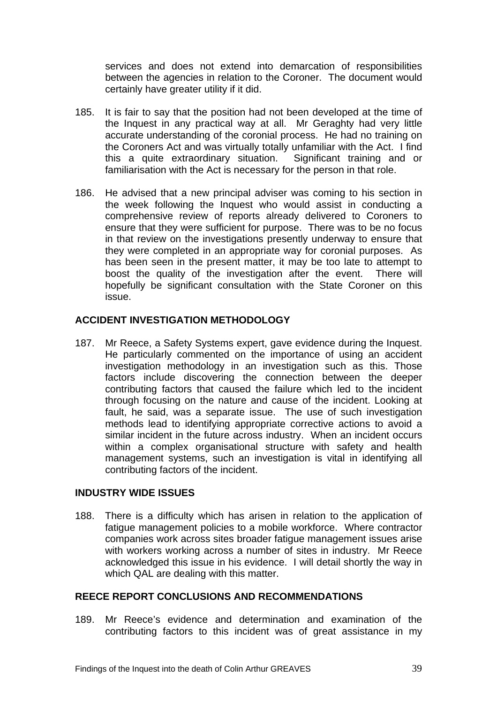services and does not extend into demarcation of responsibilities between the agencies in relation to the Coroner. The document would certainly have greater utility if it did.

- 185. It is fair to say that the position had not been developed at the time of the Inquest in any practical way at all. Mr Geraghty had very little accurate understanding of the coronial process. He had no training on the Coroners Act and was virtually totally unfamiliar with the Act. I find this a quite extraordinary situation. Significant training and or familiarisation with the Act is necessary for the person in that role.
- 186. He advised that a new principal adviser was coming to his section in the week following the Inquest who would assist in conducting a comprehensive review of reports already delivered to Coroners to ensure that they were sufficient for purpose. There was to be no focus in that review on the investigations presently underway to ensure that they were completed in an appropriate way for coronial purposes. As has been seen in the present matter, it may be too late to attempt to boost the quality of the investigation after the event. There will hopefully be significant consultation with the State Coroner on this issue.

# **ACCIDENT INVESTIGATION METHODOLOGY**

187. Mr Reece, a Safety Systems expert, gave evidence during the Inquest. He particularly commented on the importance of using an accident investigation methodology in an investigation such as this. Those factors include discovering the connection between the deeper contributing factors that caused the failure which led to the incident through focusing on the nature and cause of the incident. Looking at fault, he said, was a separate issue. The use of such investigation methods lead to identifying appropriate corrective actions to avoid a similar incident in the future across industry. When an incident occurs within a complex organisational structure with safety and health management systems, such an investigation is vital in identifying all contributing factors of the incident.

## **INDUSTRY WIDE ISSUES**

188. There is a difficulty which has arisen in relation to the application of fatigue management policies to a mobile workforce. Where contractor companies work across sites broader fatigue management issues arise with workers working across a number of sites in industry. Mr Reece acknowledged this issue in his evidence. I will detail shortly the way in which QAL are dealing with this matter.

## **REECE REPORT CONCLUSIONS AND RECOMMENDATIONS**

189. Mr Reece's evidence and determination and examination of the contributing factors to this incident was of great assistance in my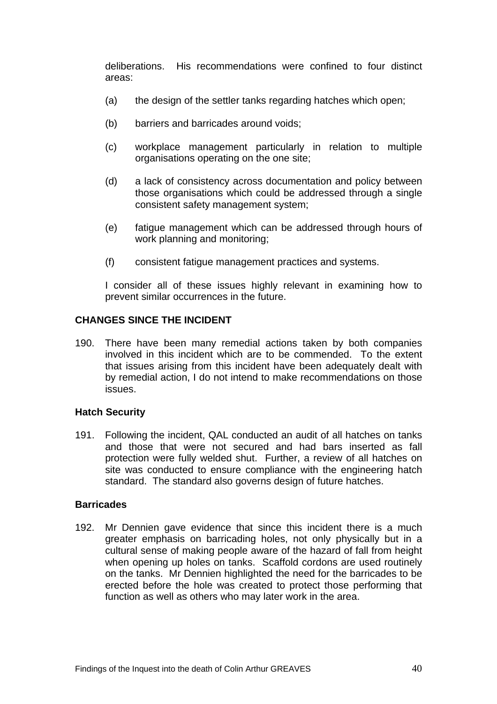deliberations. His recommendations were confined to four distinct areas:

- (a) the design of the settler tanks regarding hatches which open;
- (b) barriers and barricades around voids;
- (c) workplace management particularly in relation to multiple organisations operating on the one site;
- (d) a lack of consistency across documentation and policy between those organisations which could be addressed through a single consistent safety management system;
- (e) fatigue management which can be addressed through hours of work planning and monitoring;
- (f) consistent fatigue management practices and systems.

I consider all of these issues highly relevant in examining how to prevent similar occurrences in the future.

#### **CHANGES SINCE THE INCIDENT**

190. There have been many remedial actions taken by both companies involved in this incident which are to be commended. To the extent that issues arising from this incident have been adequately dealt with by remedial action, I do not intend to make recommendations on those issues.

#### **Hatch Security**

191. Following the incident, QAL conducted an audit of all hatches on tanks and those that were not secured and had bars inserted as fall protection were fully welded shut. Further, a review of all hatches on site was conducted to ensure compliance with the engineering hatch standard. The standard also governs design of future hatches.

#### **Barricades**

192. Mr Dennien gave evidence that since this incident there is a much greater emphasis on barricading holes, not only physically but in a cultural sense of making people aware of the hazard of fall from height when opening up holes on tanks. Scaffold cordons are used routinely on the tanks. Mr Dennien highlighted the need for the barricades to be erected before the hole was created to protect those performing that function as well as others who may later work in the area.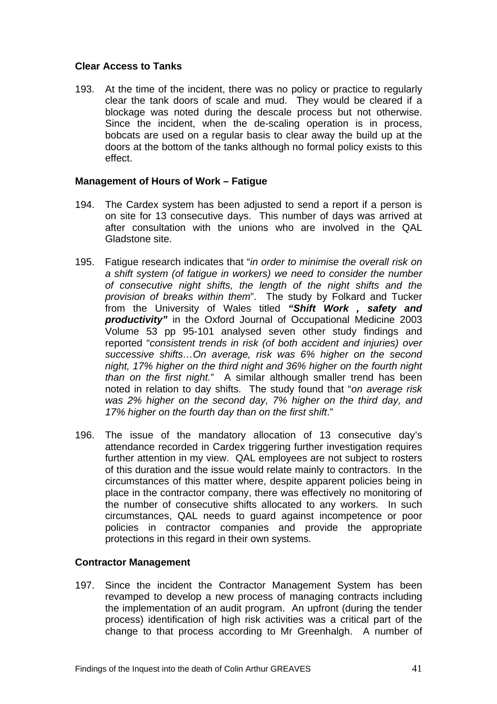## **Clear Access to Tanks**

193. At the time of the incident, there was no policy or practice to regularly clear the tank doors of scale and mud. They would be cleared if a blockage was noted during the descale process but not otherwise. Since the incident, when the de-scaling operation is in process, bobcats are used on a regular basis to clear away the build up at the doors at the bottom of the tanks although no formal policy exists to this effect.

#### **Management of Hours of Work – Fatigue**

- 194. The Cardex system has been adjusted to send a report if a person is on site for 13 consecutive days. This number of days was arrived at after consultation with the unions who are involved in the QAL Gladstone site.
- 195. Fatigue research indicates that "*in order to minimise the overall risk on a shift system (of fatigue in workers) we need to consider the number of consecutive night shifts, the length of the night shifts and the provision of breaks within them*". The study by Folkard and Tucker from the University of Wales titled *"Shift Work , safety and productivity"* in the Oxford Journal of Occupational Medicine 2003 Volume 53 pp 95-101 analysed seven other study findings and reported "*consistent trends in risk (of both accident and injuries) over successive shifts…On average, risk was 6% higher on the second night, 17% higher on the third night and 36% higher on the fourth night than on the first night.*" A similar although smaller trend has been noted in relation to day shifts. The study found that "*on average risk was 2% higher on the second day, 7% higher on the third day, and 17% higher on the fourth day than on the first shift*."
- 196. The issue of the mandatory allocation of 13 consecutive day's attendance recorded in Cardex triggering further investigation requires further attention in my view. QAL employees are not subject to rosters of this duration and the issue would relate mainly to contractors. In the circumstances of this matter where, despite apparent policies being in place in the contractor company, there was effectively no monitoring of the number of consecutive shifts allocated to any workers. In such circumstances, QAL needs to guard against incompetence or poor policies in contractor companies and provide the appropriate protections in this regard in their own systems.

#### **Contractor Management**

197. Since the incident the Contractor Management System has been revamped to develop a new process of managing contracts including the implementation of an audit program. An upfront (during the tender process) identification of high risk activities was a critical part of the change to that process according to Mr Greenhalgh. A number of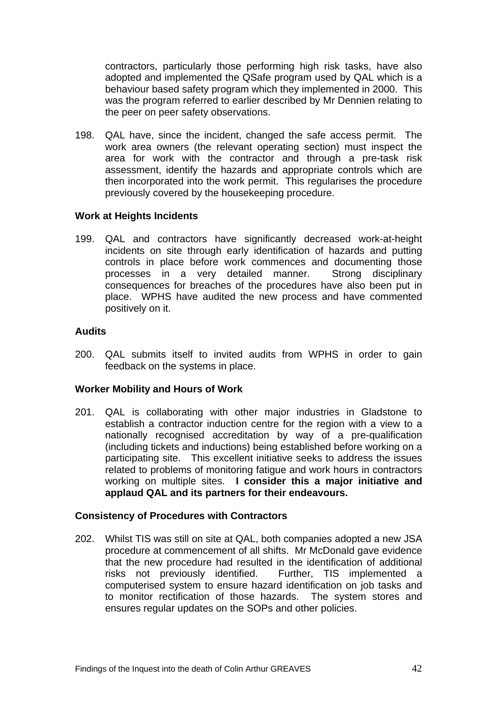contractors, particularly those performing high risk tasks, have also adopted and implemented the QSafe program used by QAL which is a behaviour based safety program which they implemented in 2000. This was the program referred to earlier described by Mr Dennien relating to the peer on peer safety observations.

198. QAL have, since the incident, changed the safe access permit. The work area owners (the relevant operating section) must inspect the area for work with the contractor and through a pre-task risk assessment, identify the hazards and appropriate controls which are then incorporated into the work permit. This regularises the procedure previously covered by the housekeeping procedure.

## **Work at Heights Incidents**

199. QAL and contractors have significantly decreased work-at-height incidents on site through early identification of hazards and putting controls in place before work commences and documenting those processes in a very detailed manner. Strong disciplinary consequences for breaches of the procedures have also been put in place. WPHS have audited the new process and have commented positively on it.

## **Audits**

200. QAL submits itself to invited audits from WPHS in order to gain feedback on the systems in place.

## **Worker Mobility and Hours of Work**

201. QAL is collaborating with other major industries in Gladstone to establish a contractor induction centre for the region with a view to a nationally recognised accreditation by way of a pre-qualification (including tickets and inductions) being established before working on a participating site. This excellent initiative seeks to address the issues related to problems of monitoring fatigue and work hours in contractors working on multiple sites. **I consider this a major initiative and applaud QAL and its partners for their endeavours.**

#### **Consistency of Procedures with Contractors**

202. Whilst TIS was still on site at QAL, both companies adopted a new JSA procedure at commencement of all shifts. Mr McDonald gave evidence that the new procedure had resulted in the identification of additional risks not previously identified. Further, TIS implemented a computerised system to ensure hazard identification on job tasks and to monitor rectification of those hazards. The system stores and ensures regular updates on the SOPs and other policies.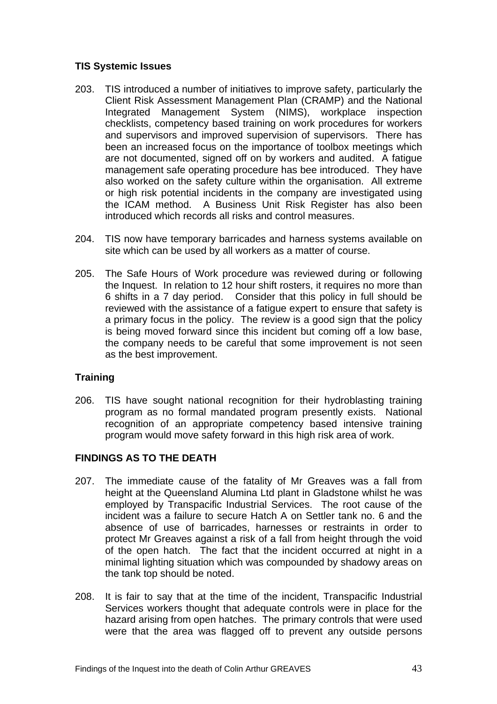# **TIS Systemic Issues**

- 203. TIS introduced a number of initiatives to improve safety, particularly the Client Risk Assessment Management Plan (CRAMP) and the National Integrated Management System (NIMS), workplace inspection checklists, competency based training on work procedures for workers and supervisors and improved supervision of supervisors. There has been an increased focus on the importance of toolbox meetings which are not documented, signed off on by workers and audited. A fatigue management safe operating procedure has bee introduced. They have also worked on the safety culture within the organisation. All extreme or high risk potential incidents in the company are investigated using the ICAM method. A Business Unit Risk Register has also been introduced which records all risks and control measures.
- 204. TIS now have temporary barricades and harness systems available on site which can be used by all workers as a matter of course.
- 205. The Safe Hours of Work procedure was reviewed during or following the Inquest. In relation to 12 hour shift rosters, it requires no more than 6 shifts in a 7 day period. Consider that this policy in full should be reviewed with the assistance of a fatigue expert to ensure that safety is a primary focus in the policy. The review is a good sign that the policy is being moved forward since this incident but coming off a low base, the company needs to be careful that some improvement is not seen as the best improvement.

# **Training**

206. TIS have sought national recognition for their hydroblasting training program as no formal mandated program presently exists. National recognition of an appropriate competency based intensive training program would move safety forward in this high risk area of work.

## **FINDINGS AS TO THE DEATH**

- 207. The immediate cause of the fatality of Mr Greaves was a fall from height at the Queensland Alumina Ltd plant in Gladstone whilst he was employed by Transpacific Industrial Services. The root cause of the incident was a failure to secure Hatch A on Settler tank no. 6 and the absence of use of barricades, harnesses or restraints in order to protect Mr Greaves against a risk of a fall from height through the void of the open hatch. The fact that the incident occurred at night in a minimal lighting situation which was compounded by shadowy areas on the tank top should be noted.
- 208. It is fair to say that at the time of the incident, Transpacific Industrial Services workers thought that adequate controls were in place for the hazard arising from open hatches. The primary controls that were used were that the area was flagged off to prevent any outside persons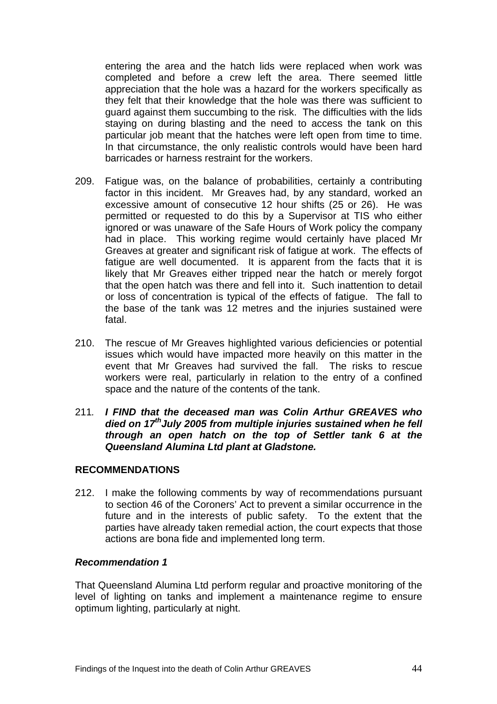entering the area and the hatch lids were replaced when work was completed and before a crew left the area. There seemed little appreciation that the hole was a hazard for the workers specifically as they felt that their knowledge that the hole was there was sufficient to guard against them succumbing to the risk. The difficulties with the lids staying on during blasting and the need to access the tank on this particular job meant that the hatches were left open from time to time. In that circumstance, the only realistic controls would have been hard barricades or harness restraint for the workers.

- 209. Fatigue was, on the balance of probabilities, certainly a contributing factor in this incident. Mr Greaves had, by any standard, worked an excessive amount of consecutive 12 hour shifts (25 or 26). He was permitted or requested to do this by a Supervisor at TIS who either ignored or was unaware of the Safe Hours of Work policy the company had in place. This working regime would certainly have placed Mr Greaves at greater and significant risk of fatigue at work. The effects of fatigue are well documented. It is apparent from the facts that it is likely that Mr Greaves either tripped near the hatch or merely forgot that the open hatch was there and fell into it. Such inattention to detail or loss of concentration is typical of the effects of fatigue. The fall to the base of the tank was 12 metres and the injuries sustained were fatal.
- 210. The rescue of Mr Greaves highlighted various deficiencies or potential issues which would have impacted more heavily on this matter in the event that Mr Greaves had survived the fall. The risks to rescue workers were real, particularly in relation to the entry of a confined space and the nature of the contents of the tank.
- 211*. I FIND that the deceased man was Colin Arthur GREAVES who died on 17thJuly 2005 from multiple injuries sustained when he fell through an open hatch on the top of Settler tank 6 at the Queensland Alumina Ltd plant at Gladstone.*

## **RECOMMENDATIONS**

212. I make the following comments by way of recommendations pursuant to section 46 of the Coroners' Act to prevent a similar occurrence in the future and in the interests of public safety. To the extent that the parties have already taken remedial action, the court expects that those actions are bona fide and implemented long term.

#### *Recommendation 1*

That Queensland Alumina Ltd perform regular and proactive monitoring of the level of lighting on tanks and implement a maintenance regime to ensure optimum lighting, particularly at night.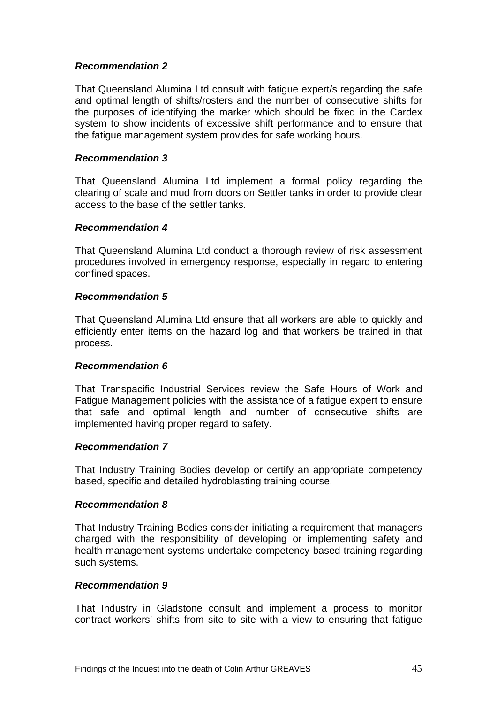## *Recommendation 2*

That Queensland Alumina Ltd consult with fatigue expert/s regarding the safe and optimal length of shifts/rosters and the number of consecutive shifts for the purposes of identifying the marker which should be fixed in the Cardex system to show incidents of excessive shift performance and to ensure that the fatigue management system provides for safe working hours.

#### *Recommendation 3*

That Queensland Alumina Ltd implement a formal policy regarding the clearing of scale and mud from doors on Settler tanks in order to provide clear access to the base of the settler tanks.

#### *Recommendation 4*

That Queensland Alumina Ltd conduct a thorough review of risk assessment procedures involved in emergency response, especially in regard to entering confined spaces.

#### *Recommendation 5*

That Queensland Alumina Ltd ensure that all workers are able to quickly and efficiently enter items on the hazard log and that workers be trained in that process.

#### *Recommendation 6*

That Transpacific Industrial Services review the Safe Hours of Work and Fatigue Management policies with the assistance of a fatigue expert to ensure that safe and optimal length and number of consecutive shifts are implemented having proper regard to safety.

#### *Recommendation 7*

That Industry Training Bodies develop or certify an appropriate competency based, specific and detailed hydroblasting training course.

#### *Recommendation 8*

That Industry Training Bodies consider initiating a requirement that managers charged with the responsibility of developing or implementing safety and health management systems undertake competency based training regarding such systems.

#### *Recommendation 9*

That Industry in Gladstone consult and implement a process to monitor contract workers' shifts from site to site with a view to ensuring that fatigue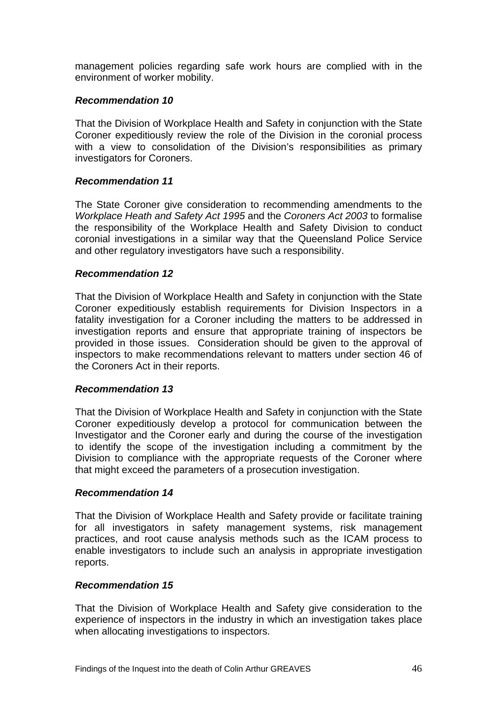management policies regarding safe work hours are complied with in the environment of worker mobility.

#### *Recommendation 10*

That the Division of Workplace Health and Safety in conjunction with the State Coroner expeditiously review the role of the Division in the coronial process with a view to consolidation of the Division's responsibilities as primary investigators for Coroners.

#### *Recommendation 11*

The State Coroner give consideration to recommending amendments to the *Workplace Heath and Safety Act 1995* and the *Coroners Act 2003* to formalise the responsibility of the Workplace Health and Safety Division to conduct coronial investigations in a similar way that the Queensland Police Service and other regulatory investigators have such a responsibility.

#### *Recommendation 12*

That the Division of Workplace Health and Safety in conjunction with the State Coroner expeditiously establish requirements for Division Inspectors in a fatality investigation for a Coroner including the matters to be addressed in investigation reports and ensure that appropriate training of inspectors be provided in those issues. Consideration should be given to the approval of inspectors to make recommendations relevant to matters under section 46 of the Coroners Act in their reports.

#### *Recommendation 13*

That the Division of Workplace Health and Safety in conjunction with the State Coroner expeditiously develop a protocol for communication between the Investigator and the Coroner early and during the course of the investigation to identify the scope of the investigation including a commitment by the Division to compliance with the appropriate requests of the Coroner where that might exceed the parameters of a prosecution investigation.

#### *Recommendation 14*

That the Division of Workplace Health and Safety provide or facilitate training for all investigators in safety management systems, risk management practices, and root cause analysis methods such as the ICAM process to enable investigators to include such an analysis in appropriate investigation reports.

#### *Recommendation 15*

That the Division of Workplace Health and Safety give consideration to the experience of inspectors in the industry in which an investigation takes place when allocating investigations to inspectors.